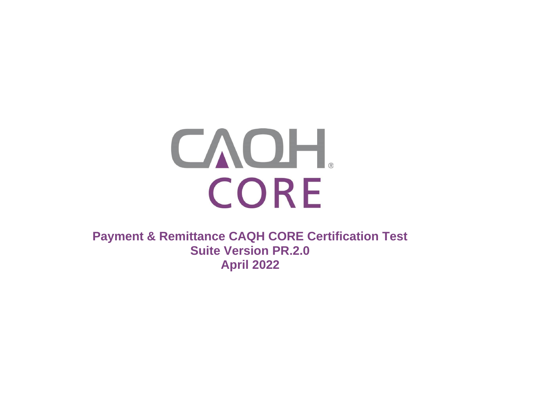

**Payment & Remittance CAQH CORE Certification Test Suite Version PR.2.0 April 2022**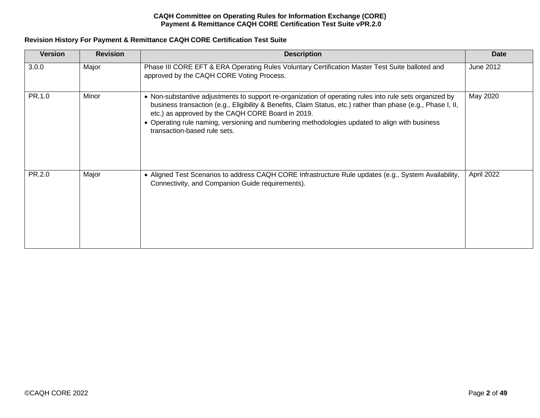# **Revision History For Payment & Remittance CAQH CORE Certification Test Suite**

| <b>Version</b> | <b>Revision</b> | <b>Description</b>                                                                                                                                                                                                                                                                                                                                                                                              | <b>Date</b> |
|----------------|-----------------|-----------------------------------------------------------------------------------------------------------------------------------------------------------------------------------------------------------------------------------------------------------------------------------------------------------------------------------------------------------------------------------------------------------------|-------------|
| 3.0.0          | Major           | Phase III CORE EFT & ERA Operating Rules Voluntary Certification Master Test Suite balloted and<br>approved by the CAQH CORE Voting Process.                                                                                                                                                                                                                                                                    | June 2012   |
| PR.1.0         | Minor           | • Non-substantive adjustments to support re-organization of operating rules into rule sets organized by<br>business transaction (e.g., Eligibility & Benefits, Claim Status, etc.) rather than phase (e.g., Phase I, II,<br>etc.) as approved by the CAQH CORE Board in 2019.<br>• Operating rule naming, versioning and numbering methodologies updated to align with business<br>transaction-based rule sets. | May 2020    |
| PR.2.0         | Major           | • Aligned Test Scenarios to address CAQH CORE Infrastructure Rule updates (e.g., System Availability,<br>Connectivity, and Companion Guide requirements).                                                                                                                                                                                                                                                       | April 2022  |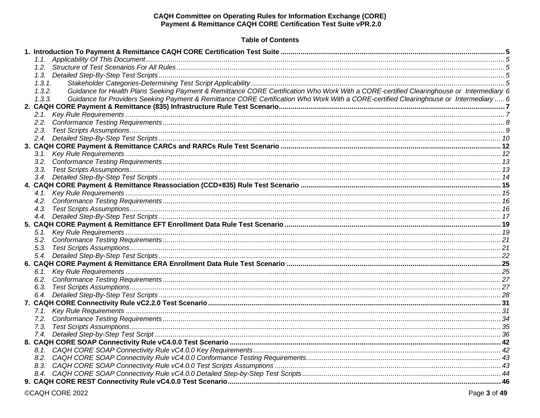# **Table of Contents**

| 1, 3, 1,                                                                                                                                           |  |
|----------------------------------------------------------------------------------------------------------------------------------------------------|--|
| Guidance for Health Plans Seeking Payment & Remittance CORE Certification Who Work With a CORE-certified Clearinghouse or Intermediary 6<br>1,3.2. |  |
| Guidance for Providers Seeking Payment & Remittance CORE Certification Who Work With a CORE-certified Clearinghouse or Intermediary  6<br>1, 3, 3, |  |
|                                                                                                                                                    |  |
|                                                                                                                                                    |  |
|                                                                                                                                                    |  |
|                                                                                                                                                    |  |
|                                                                                                                                                    |  |
|                                                                                                                                                    |  |
|                                                                                                                                                    |  |
|                                                                                                                                                    |  |
|                                                                                                                                                    |  |
|                                                                                                                                                    |  |
|                                                                                                                                                    |  |
|                                                                                                                                                    |  |
|                                                                                                                                                    |  |
|                                                                                                                                                    |  |
|                                                                                                                                                    |  |
|                                                                                                                                                    |  |
|                                                                                                                                                    |  |
|                                                                                                                                                    |  |
|                                                                                                                                                    |  |
|                                                                                                                                                    |  |
|                                                                                                                                                    |  |
|                                                                                                                                                    |  |
|                                                                                                                                                    |  |
|                                                                                                                                                    |  |
|                                                                                                                                                    |  |
|                                                                                                                                                    |  |
|                                                                                                                                                    |  |
|                                                                                                                                                    |  |
|                                                                                                                                                    |  |
|                                                                                                                                                    |  |
|                                                                                                                                                    |  |
|                                                                                                                                                    |  |
|                                                                                                                                                    |  |
|                                                                                                                                                    |  |
|                                                                                                                                                    |  |
|                                                                                                                                                    |  |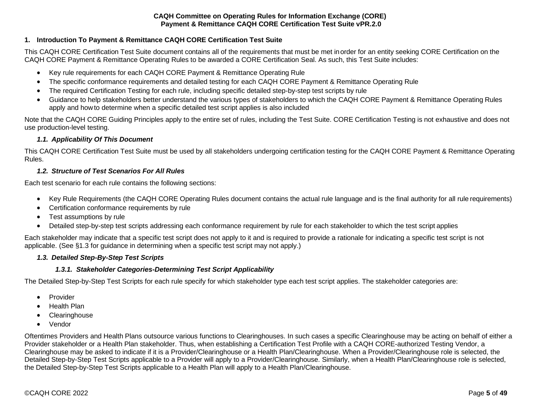# <span id="page-4-0"></span>**1. Introduction To Payment & Remittance CAQH CORE Certification Test Suite**

This CAQH CORE Certification Test Suite document contains all of the requirements that must be met inorder for an entity seeking CORE Certification on the CAQH CORE Payment & Remittance Operating Rules to be awarded a CORE Certification Seal. As such, this Test Suite includes:

- Key rule requirements for each CAQH CORE Payment & Remittance Operating Rule
- The specific conformance requirements and detailed testing for each CAQH CORE Payment & Remittance Operating Rule
- The required Certification Testing for each rule, including specific detailed step-by-step test scripts by rule
- Guidance to help stakeholders better understand the various types of stakeholders to which the CAQH CORE Payment & Remittance Operating Rules apply and howto determine when a specific detailed test script applies is also included

Note that the CAQH CORE Guiding Principles apply to the entire set of rules, including the Test Suite. CORE Certification Testing is not exhaustive and does not use production-level testing.

## *1.1. Applicability Of This Document*

<span id="page-4-1"></span>This CAQH CORE Certification Test Suite must be used by all stakeholders undergoing certification testing for the CAQH CORE Payment & Remittance Operating Rules.

#### *1.2. Structure of Test Scenarios For All Rules*

<span id="page-4-2"></span>Each test scenario for each rule contains the following sections:

- Key Rule Requirements (the CAQH CORE Operating Rules document contains the actual rule language and is the final authority for all rule requirements)
- Certification conformance requirements by rule
- Test assumptions by rule
- Detailed step-by-step test scripts addressing each conformance requirement by rule for each stakeholder to which the test script applies

Each stakeholder may indicate that a specific test script does not apply to it and is required to provide a rationale for indicating a specific test script is not applicable. (See §1.3 for guidance in determining when a specific test script may not apply.)

#### <span id="page-4-3"></span>*1.3. Detailed Step-By-Step Test Scripts*

## <span id="page-4-4"></span>*1.3.1. Stakeholder Categories-Determining Test Script Applicability*

The Detailed Step-by-Step Test Scripts for each rule specify for which stakeholder type each test script applies. The stakeholder categories are:

- Provider
- Health Plan
- **Clearinghouse**
- Vendor

Oftentimes Providers and Health Plans outsource various functions to Clearinghouses. In such cases a specific Clearinghouse may be acting on behalf of either a Provider stakeholder or a Health Plan stakeholder. Thus, when establishing a Certification Test Profile with a CAQH CORE-authorized Testing Vendor, a Clearinghouse may be asked to indicate if it is a Provider/Clearinghouse or a Health Plan/Clearinghouse. When a Provider/Clearinghouse role is selected, the Detailed Step-by-Step Test Scripts applicable to a Provider will apply to a Provider/Clearinghouse. Similarly, when a Health Plan/Clearinghouse role is selected, the Detailed Step-by-Step Test Scripts applicable to a Health Plan will apply to a Health Plan/Clearinghouse.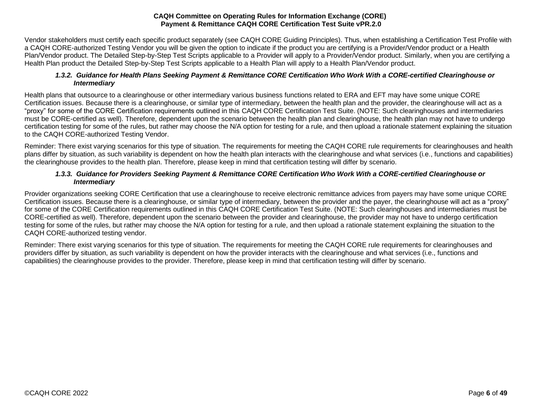Vendor stakeholders must certify each specific product separately (see CAQH CORE Guiding Principles). Thus, when establishing a Certification Test Profile with a CAQH CORE-authorized Testing Vendor you will be given the option to indicate if the product you are certifying is a Provider/Vendor product or a Health Plan/Vendor product. The Detailed Step-by-Step Test Scripts applicable to a Provider will apply to a Provider/Vendor product. Similarly, when you are certifying a Health Plan product the Detailed Step-by-Step Test Scripts applicable to a Health Plan will apply to a Health Plan/Vendor product.

## <span id="page-5-0"></span>*1.3.2. Guidance for Health Plans Seeking Payment & Remittance CORE Certification Who Work With a CORE-certified Clearinghouse or Intermediary*

Health plans that outsource to a clearinghouse or other intermediary various business functions related to ERA and EFT may have some unique CORE Certification issues. Because there is a clearinghouse, or similar type of intermediary, between the health plan and the provider, the clearinghouse will act as a "proxy" for some of the CORE Certification requirements outlined in this CAQH CORE Certification Test Suite. (NOTE: Such clearinghouses and intermediaries must be CORE-certified as well). Therefore, dependent upon the scenario between the health plan and clearinghouse, the health plan may not have to undergo certification testing for some of the rules, but rather may choose the N/A option for testing for a rule, and then upload a rationale statement explaining the situation to the CAQH CORE-authorized Testing Vendor.

Reminder: There exist varying scenarios for this type of situation. The requirements for meeting the CAQH CORE rule requirements for clearinghouses and health plans differ by situation, as such variability is dependent on how the health plan interacts with the clearinghouse and what services (i.e., functions and capabilities) the clearinghouse provides to the health plan. Therefore, please keep in mind that certification testing will differ by scenario.

# <span id="page-5-1"></span>*1.3.3. Guidance for Providers Seeking Payment & Remittance CORE Certification Who Work With a CORE-certified Clearinghouse or Intermediary*

Provider organizations seeking CORE Certification that use a clearinghouse to receive electronic remittance advices from payers may have some unique CORE Certification issues. Because there is a clearinghouse, or similar type of intermediary, between the provider and the payer, the clearinghouse will act as a "proxy" for some of the CORE Certification requirements outlined in this CAQH CORE Certification Test Suite. (NOTE: Such clearinghouses and intermediaries must be CORE-certified as well). Therefore, dependent upon the scenario between the provider and clearinghouse, the provider may not have to undergo certification testing for some of the rules, but rather may choose the N/A option for testing for a rule, and then upload a rationale statement explaining the situation to the CAQH CORE-authorized testing vendor.

Reminder: There exist varying scenarios for this type of situation. The requirements for meeting the CAQH CORE rule requirements for clearinghouses and providers differ by situation, as such variability is dependent on how the provider interacts with the clearinghouse and what services (i.e., functions and capabilities) the clearinghouse provides to the provider. Therefore, please keep in mind that certification testing will differ by scenario.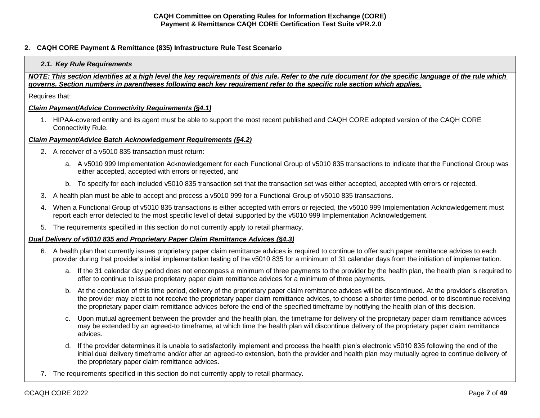## <span id="page-6-1"></span><span id="page-6-0"></span>**2. CAQH CORE Payment & Remittance (835) Infrastructure Rule Test Scenario**

#### *2.1. Key Rule Requirements*

*NOTE: This section identifies at a high level the key requirements of this rule. Refer to the rule document for the specific language of the rule which governs. Section numbers in parentheses following each key requirement refer to the specific rule section which applies.*

Requires that:

#### *Claim Payment/Advice Connectivity Requirements (§4.1)*

1. HIPAA-covered entity and its agent must be able to support the most recent published and CAQH CORE adopted version of the CAQH CORE Connectivity Rule.

#### *Claim Payment/Advice Batch Acknowledgement Requirements (§4.2)*

- 2. A receiver of a v5010 835 transaction must return:
	- a. A v5010 999 Implementation Acknowledgement for each Functional Group of v5010 835 transactions to indicate that the Functional Group was either accepted, accepted with errors or rejected, and
	- b. To specify for each included v5010 835 transaction set that the transaction set was either accepted, accepted with errors or rejected.
- 3. A health plan must be able to accept and process a v5010 999 for a Functional Group of v5010 835 transactions.
- 4. When a Functional Group of v5010 835 transactions is either accepted with errors or rejected, the v5010 999 Implementation Acknowledgement must report each error detected to the most specific level of detail supported by the v5010 999 Implementation Acknowledgement.
- 5. The requirements specified in this section do not currently apply to retail pharmacy.

## *Dual Delivery of v5010 835 and Proprietary Paper Claim Remittance Advices (§4.3)*

- 6. A health plan that currently issues proprietary paper claim remittance advices is required to continue to offer such paper remittance advices to each provider during that provider's initial implementation testing of the v5010 835 for a minimum of 31 calendar days from the initiation of implementation.
	- a. If the 31 calendar day period does not encompass a minimum of three payments to the provider by the health plan, the health plan is required to offer to continue to issue proprietary paper claim remittance advices for a minimum of three payments.
	- b. At the conclusion of this time period, delivery of the proprietary paper claim remittance advices will be discontinued. At the provider's discretion, the provider may elect to not receive the proprietary paper claim remittance advices, to choose a shorter time period, or to discontinue receiving the proprietary paper claim remittance advices before the end of the specified timeframe by notifying the health plan of this decision.
	- c. Upon mutual agreement between the provider and the health plan, the timeframe for delivery of the proprietary paper claim remittance advices may be extended by an agreed-to timeframe, at which time the health plan will discontinue delivery of the proprietary paper claim remittance advices.
	- d. If the provider determines it is unable to satisfactorily implement and process the health plan's electronic v5010 835 following the end of the initial dual delivery timeframe and/or after an agreed-to extension, both the provider and health plan may mutually agree to continue delivery of the proprietary paper claim remittance advices.
- 7. The requirements specified in this section do not currently apply to retail pharmacy.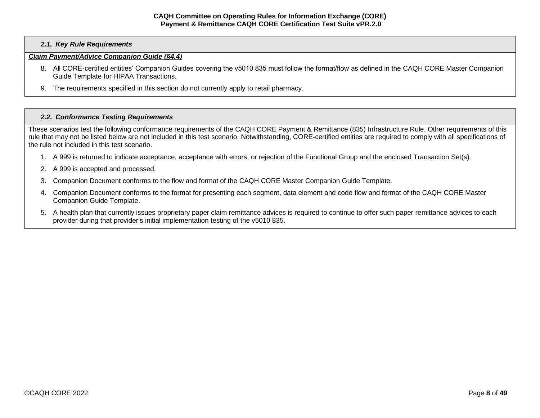## *2.1. Key Rule Requirements*

### *Claim Payment/Advice Companion Guide (§4.4)*

- 8. All CORE-certified entities' Companion Guides covering the v5010 835 must follow the format/flow as defined in the CAQH CORE Master Companion Guide Template for HIPAA Transactions.
- 9. The requirements specified in this section do not currently apply to retail pharmacy.

#### <span id="page-7-0"></span>*2.2. Conformance Testing Requirements*

These scenarios test the following conformance requirements of the CAQH CORE Payment & Remittance (835) Infrastructure Rule. Other requirements of this rule that may not be listed below are not included in this test scenario. Notwithstanding, CORE-certified entities are required to comply with all specifications of the rule not included in this test scenario.

- 1. A 999 is returned to indicate acceptance, acceptance with errors, or rejection of the Functional Group and the enclosed Transaction Set(s).
- 2. A 999 is accepted and processed.
- 3. Companion Document conforms to the flow and format of the CAQH CORE Master Companion Guide Template.
- 4. Companion Document conforms to the format for presenting each segment, data element and code flow and format of the CAQH CORE Master Companion Guide Template.
- 5. A health plan that currently issues proprietary paper claim remittance advices is required to continue to offer such paper remittance advices to each provider during that provider's initial implementation testing of the v5010 835.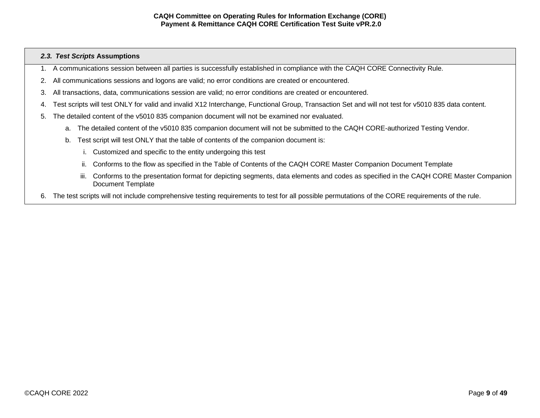### <span id="page-8-0"></span>*2.3. Test Scripts* **Assumptions**

- 1. A communications session between all parties is successfully established in compliance with the CAQH CORE Connectivity Rule.
- 2. All communications sessions and logons are valid; no error conditions are created or encountered.
- 3. All transactions, data, communications session are valid; no error conditions are created or encountered.
- 4. Test scripts will test ONLY for valid and invalid X12 Interchange, Functional Group, Transaction Set and will not test for v5010 835 data content.
- 5. The detailed content of the v5010 835 companion document will not be examined nor evaluated.
	- a. The detailed content of the v5010 835 companion document will not be submitted to the CAQH CORE-authorized Testing Vendor.
	- b. Test script will test ONLY that the table of contents of the companion document is:
		- i. Customized and specific to the entity undergoing this test
		- ii. Conforms to the flow as specified in the Table of Contents of the CAQH CORE Master Companion Document Template
		- iii. Conforms to the presentation format for depicting segments, data elements and codes as specified in the CAQH CORE Master Companion Document Template
- 6. The test scripts will not include comprehensive testing requirements to test for all possible permutations of the CORE requirements of the rule.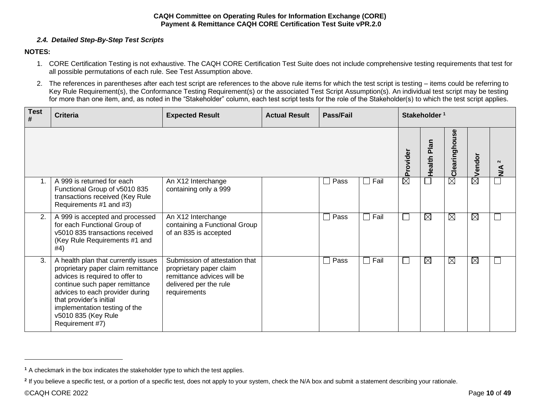# *2.4. Detailed Step-By-Step Test Scripts*

# <span id="page-9-0"></span>**NOTES:**

- 1. CORE Certification Testing is not exhaustive. The CAQH CORE Certification Test Suite does not include comprehensive testing requirements that test for all possible permutations of each rule. See Test Assumption above.
- 2. The references in parentheses after each test script are references to the above rule items for which the test script is testing items could be referring to Key Rule Requirement(s), the Conformance Testing Requirement(s) or the associated Test Script Assumption(s). An individual test script may be testing for more than one item, and, as noted in the "Stakeholder" column, each test script tests for the role of the Stakeholder(s) to which the test script applies.

| <b>Test</b><br># | <b>Criteria</b>                                                                                                                                                                                                                                                                         | <b>Expected Result</b>                                                                                                            | <b>Actual Result</b> | Pass/Fail            |             | Stakeholder <sup>1</sup> |                       |                   |             |                                      |
|------------------|-----------------------------------------------------------------------------------------------------------------------------------------------------------------------------------------------------------------------------------------------------------------------------------------|-----------------------------------------------------------------------------------------------------------------------------------|----------------------|----------------------|-------------|--------------------------|-----------------------|-------------------|-------------|--------------------------------------|
|                  |                                                                                                                                                                                                                                                                                         |                                                                                                                                   |                      |                      |             | Provider                 | <b>Plan</b><br>Health | asn<br>Clearingho | Vendor      | $\boldsymbol{\sim}$<br>$\frac{4}{2}$ |
| $\mathbf 1$ .    | A 999 is returned for each<br>Functional Group of v5010 835<br>transactions received (Key Rule<br>Requirements #1 and #3)                                                                                                                                                               | An X12 Interchange<br>containing only a 999                                                                                       |                      | Pass<br>$\mathbf{I}$ | $\Box$ Fail | $\boxtimes$              |                       | $\boxtimes$       | 闵           |                                      |
| 2.               | A 999 is accepted and processed<br>for each Functional Group of<br>v5010 835 transactions received<br>(Key Rule Requirements #1 and<br>#4)                                                                                                                                              | An X12 Interchange<br>containing a Functional Group<br>of an 835 is accepted                                                      |                      | Pass                 | Fail        | $\Box$                   | ⊠                     | $\boxtimes$       | $\boxtimes$ |                                      |
| 3.               | A health plan that currently issues<br>proprietary paper claim remittance<br>advices is required to offer to<br>continue such paper remittance<br>advices to each provider during<br>that provider's initial<br>implementation testing of the<br>v5010 835 (Key Rule<br>Requirement #7) | Submission of attestation that<br>proprietary paper claim<br>remittance advices will be<br>delivered per the rule<br>requirements |                      | Pass                 | $\Box$ Fail | $\Box$                   | $\boxtimes$           | $\boxtimes$       | $\boxtimes$ |                                      |

**<sup>1</sup>** A checkmark in the box indicates the stakeholder type to which the test applies.

<sup>&</sup>lt;sup>2</sup> If you believe a specific test, or a portion of a specific test, does not apply to your system, check the N/A box and submit a statement describing your rationale.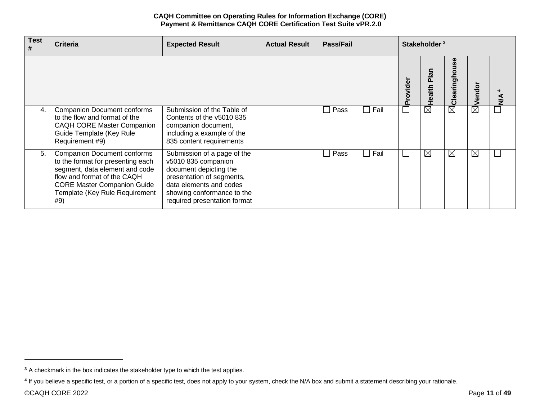| <b>Test</b><br># | <b>Criteria</b>                                                                                                                                                                                                         | <b>Expected Result</b>                                                                                                                                                                             | <b>Actual Result</b> | Pass/Fail | Stakeholder <sup>3</sup> |          |                    |                  |             |               |
|------------------|-------------------------------------------------------------------------------------------------------------------------------------------------------------------------------------------------------------------------|----------------------------------------------------------------------------------------------------------------------------------------------------------------------------------------------------|----------------------|-----------|--------------------------|----------|--------------------|------------------|-------------|---------------|
|                  |                                                                                                                                                                                                                         |                                                                                                                                                                                                    |                      |           |                          | Provider | <u>ត</u><br>Health | O<br>ngh<br>Clea | endo        | $\frac{4}{2}$ |
| 4.               | <b>Companion Document conforms</b><br>to the flow and format of the<br><b>CAQH CORE Master Companion</b><br>Guide Template (Key Rule<br>Requirement #9)                                                                 | Submission of the Table of<br>Contents of the y5010 835<br>companion document,<br>including a example of the<br>835 content requirements                                                           |                      | Pass      | Fail                     |          | $\boxtimes$        | $\boxtimes$      | $\boxtimes$ |               |
| 5.               | <b>Companion Document conforms</b><br>to the format for presenting each<br>segment, data element and code<br>flow and format of the CAQH<br><b>CORE Master Companion Guide</b><br>Template (Key Rule Requirement<br>#9) | Submission of a page of the<br>v5010 835 companion<br>document depicting the<br>presentation of segments,<br>data elements and codes<br>showing conformance to the<br>required presentation format |                      | Pass      | Fail                     |          | $\boxtimes$        | $\boxtimes$      | $\boxtimes$ |               |

**<sup>3</sup>** A checkmark in the box indicates the stakeholder type to which the test applies.

**<sup>4</sup>** If you believe a specific test, or a portion of a specific test, does not apply to your system, check the N/A box and submit a statement describing your rationale.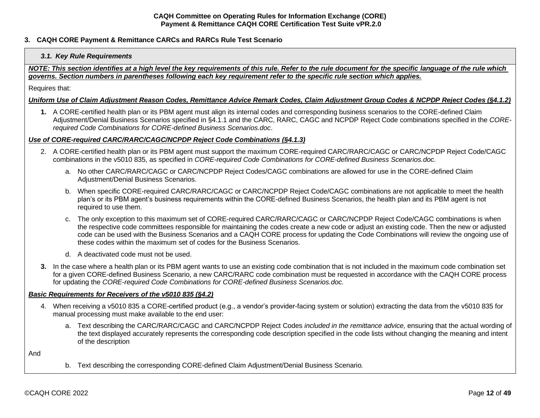## <span id="page-11-1"></span><span id="page-11-0"></span>**3. CAQH CORE Payment & Remittance CARCs and RARCs Rule Test Scenario**

## *3.1. Key Rule Requirements*

*NOTE: This section identifies at a high level the key requirements of this rule. Refer to the rule document for the specific language of the rule which governs. Section numbers in parentheses following each key requirement refer to the specific rule section which applies.*

Requires that:

#### *Uniform Use of Claim Adjustment Reason Codes, Remittance Advice Remark Codes, Claim Adjustment Group Codes & NCPDP Reject Codes (§4.1.2)*

**1.** A CORE-certified health plan or its PBM agent must align its internal codes and corresponding business scenarios to the CORE-defined Claim Adjustment/Denial Business Scenarios specified in §4.1.1 and the CARC, RARC, CAGC and NCPDP Reject Code combinations specified in the *CORErequired Code Combinations for CORE-defined Business Scenarios.doc*.

#### *Use of CORE-required CARC/RARC/CAGC/NCPDP Reject Code Combinations (§4.1.3)*

- 2. A CORE-certified health plan or its PBM agent must support the maximum CORE-required CARC/RARC/CAGC or CARC/NCPDP Reject Code/CAGC combinations in the v5010 835, as specified in *CORE-required Code Combinations for CORE-defined Business Scenarios.doc.*
	- a. No other CARC/RARC/CAGC or CARC/NCPDP Reject Codes/CAGC combinations are allowed for use in the CORE-defined Claim Adjustment/Denial Business Scenarios.
	- b. When specific CORE-required CARC/RARC/CAGC or CARC/NCPDP Reject Code/CAGC combinations are not applicable to meet the health plan's or its PBM agent's business requirements within the CORE-defined Business Scenarios, the health plan and its PBM agent is not required to use them.
	- c. The only exception to this maximum set of CORE-required CARC/RARC/CAGC or CARC/NCPDP Reject Code/CAGC combinations is when the respective code committees responsible for maintaining the codes create a new code or adjust an existing code. Then the new or adjusted code can be used with the Business Scenarios and a CAQH CORE process for updating the Code Combinations will review the ongoing use of these codes within the maximum set of codes for the Business Scenarios.
	- d. A deactivated code must not be used.
- **3.** In the case where a health plan or its PBM agent wants to use an existing code combination that is not included in the maximum code combination set for a given CORE-defined Business Scenario, a new CARC/RARC code combination must be requested in accordance with the CAQH CORE process for updating the *CORE-required Code Combinations for CORE-defined Business Scenarios.doc.*

### *Basic Requirements for Receivers of the v5010 835 (§4.2)*

- 4. When receiving a v5010 835 a CORE-certified product (e.g., a vendor's provider-facing system or solution) extracting the data from the v5010 835 for manual processing must make available to the end user:
	- a. Text describing the CARC/RARC/CAGC and CARC/NCPDP Reject Codes *included in the remittance advice,* ensuring that the actual wording of the text displayed accurately represents the corresponding code description specified in the code lists without changing the meaning and intent of the description

And

b. Text describing the corresponding CORE-defined Claim Adjustment/Denial Business Scenario*.*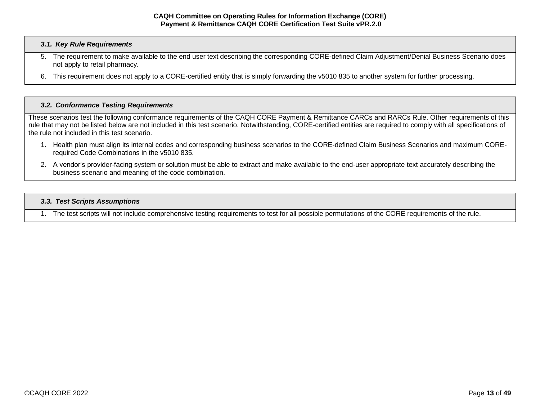#### *3.1. Key Rule Requirements*

- 5. The requirement to make available to the end user text describing the corresponding CORE-defined Claim Adjustment/Denial Business Scenario does not apply to retail pharmacy.
- 6. This requirement does not apply to a CORE-certified entity that is simply forwarding the v5010 835 to another system for further processing.

#### <span id="page-12-0"></span>*3.2. Conformance Testing Requirements*

These scenarios test the following conformance requirements of the CAQH CORE Payment & Remittance CARCs and RARCs Rule. Other requirements of this rule that may not be listed below are not included in this test scenario. Notwithstanding, CORE-certified entities are required to comply with all specifications of the rule not included in this test scenario.

- 1. Health plan must align its internal codes and corresponding business scenarios to the CORE-defined Claim Business Scenarios and maximum CORErequired Code Combinations in the v5010 835.
- 2. A vendor's provider-facing system or solution must be able to extract and make available to the end-user appropriate text accurately describing the business scenario and meaning of the code combination.

#### <span id="page-12-1"></span>*3.3. Test Scripts Assumptions*

1. The test scripts will not include comprehensive testing requirements to test for all possible permutations of the CORE requirements of the rule.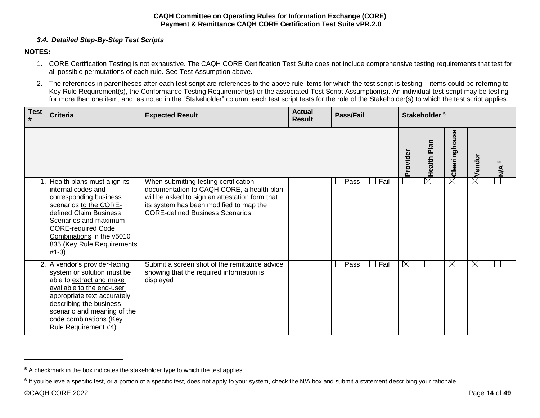# *3.4. Detailed Step-By-Step Test Scripts*

# <span id="page-13-0"></span>**NOTES:**

- 1. CORE Certification Testing is not exhaustive. The CAQH CORE Certification Test Suite does not include comprehensive testing requirements that test for all possible permutations of each rule. See Test Assumption above.
- 2. The references in parentheses after each test script are references to the above rule items for which the test script is testing items could be referring to Key Rule Requirement(s), the Conformance Testing Requirement(s) or the associated Test Script Assumption(s). An individual test script may be testing for more than one item, and, as noted in the "Stakeholder" column, each test script tests for the role of the Stakeholder(s) to which the test script applies.

| <b>Test</b><br># | <b>Criteria</b>                                                                                                                                                                                                                                              | <b>Expected Result</b>                                                                                                                                                                                                    | <b>Actual</b><br><b>Result</b> | <b>Pass/Fail</b> |      |             | Stakeholder <sup>5</sup> |               |                    |                  |
|------------------|--------------------------------------------------------------------------------------------------------------------------------------------------------------------------------------------------------------------------------------------------------------|---------------------------------------------------------------------------------------------------------------------------------------------------------------------------------------------------------------------------|--------------------------------|------------------|------|-------------|--------------------------|---------------|--------------------|------------------|
|                  |                                                                                                                                                                                                                                                              |                                                                                                                                                                                                                           |                                |                  |      | Provider    | Plan<br>Health           | Clearinghouse | $\boxtimes$ vendor | $\sum_{i=1}^{n}$ |
|                  | Health plans must align its<br>internal codes and<br>corresponding business<br>scenarios to the CORE-<br>defined Claim Business<br>Scenarios and maximum<br><b>CORE-required Code</b><br>Combinations in the v5010<br>835 (Key Rule Requirements<br>$#1-3)$  | When submitting testing certification<br>documentation to CAQH CORE, a health plan<br>will be asked to sign an attestation form that<br>its system has been modified to map the<br><b>CORE-defined Business Scenarios</b> |                                | Pass             | Fail | $\Box$      | $\overline{\boxtimes}$   | $\boxtimes$   |                    |                  |
| 2.               | A vendor's provider-facing<br>system or solution must be<br>able to extract and make<br>available to the end-user<br>appropriate text accurately<br>describing the business<br>scenario and meaning of the<br>code combinations (Key<br>Rule Requirement #4) | Submit a screen shot of the remittance advice<br>showing that the required information is<br>displayed                                                                                                                    |                                | Pass             | Fail | $\boxtimes$ |                          | $\boxtimes$   | $\boxtimes$        |                  |

**<sup>5</sup>** A checkmark in the box indicates the stakeholder type to which the test applies.

**<sup>6</sup>** If you believe a specific test, or a portion of a specific test, does not apply to your system, check the N/A box and submit a statement describing your rationale.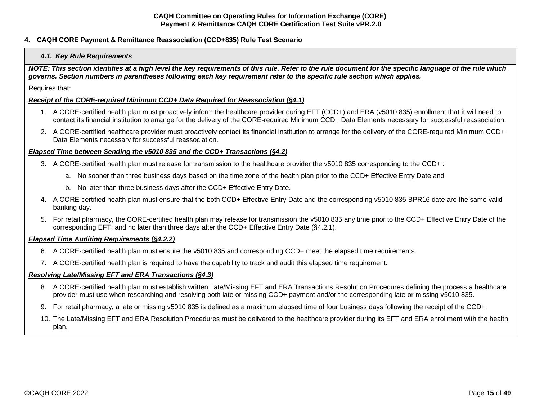## <span id="page-14-1"></span><span id="page-14-0"></span>**4. CAQH CORE Payment & Remittance Reassociation (CCD+835) Rule Test Scenario**

## *4.1. Key Rule Requirements*

*NOTE: This section identifies at a high level the key requirements of this rule. Refer to the rule document for the specific language of the rule which governs. Section numbers in parentheses following each key requirement refer to the specific rule section which applies.*

Requires that:

## *Receipt of the CORE-required Minimum CCD+ Data Required for Reassociation (§4.1)*

- 1. A CORE-certified health plan must proactively inform the healthcare provider during EFT (CCD+) and ERA (v5010 835) enrollment that it will need to contact its financial institution to arrange for the delivery of the CORE-required Minimum CCD+ Data Elements necessary for successful reassociation.
- 2. A CORE-certified healthcare provider must proactively contact its financial institution to arrange for the delivery of the CORE-required Minimum CCD+ Data Elements necessary for successful reassociation.

#### *Elapsed Time between Sending the v5010 835 and the CCD+ Transactions (§4.2)*

- 3. A CORE-certified health plan must release for transmission to the healthcare provider the v5010 835 corresponding to the CCD+ :
	- a. No sooner than three business days based on the time zone of the health plan prior to the CCD+ Effective Entry Date and
	- b. No later than three business days after the CCD+ Effective Entry Date.
- 4. A CORE-certified health plan must ensure that the both CCD+ Effective Entry Date and the corresponding v5010 835 BPR16 date are the same valid banking day.
- 5. For retail pharmacy, the CORE-certified health plan may release for transmission the v5010 835 any time prior to the CCD+ Effective Entry Date of the corresponding EFT; and no later than three days after the CCD+ Effective Entry Date (§4.2.1).

## *Elapsed Time Auditing Requirements (§4.2.2)*

- 6. A CORE-certified health plan must ensure the v5010 835 and corresponding CCD+ meet the elapsed time requirements.
- 7. A CORE-certified health plan is required to have the capability to track and audit this elapsed time requirement.

## *Resolving Late/Missing EFT and ERA Transactions (§4.3)*

- 8. A CORE-certified health plan must establish written Late/Missing EFT and ERA Transactions Resolution Procedures defining the process a healthcare provider must use when researching and resolving both late or missing CCD+ payment and/or the corresponding late or missing v5010 835.
- 9. For retail pharmacy, a late or missing v5010 835 is defined as a maximum elapsed time of four business days following the receipt of the CCD+.
- 10. The Late/Missing EFT and ERA Resolution Procedures must be delivered to the healthcare provider during its EFT and ERA enrollment with the health plan.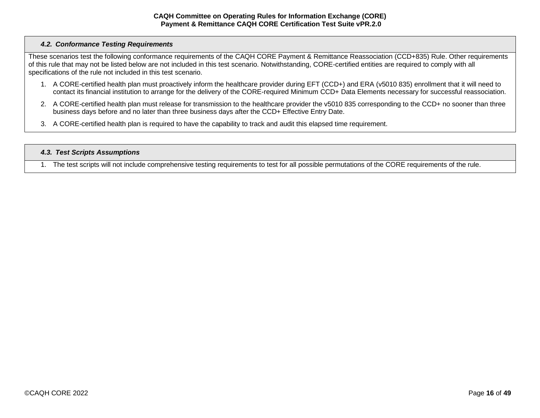# <span id="page-15-0"></span>*4.2. Conformance Testing Requirements*

These scenarios test the following conformance requirements of the CAQH CORE Payment & Remittance Reassociation (CCD+835) Rule. Other requirements of this rule that may not be listed below are not included in this test scenario. Notwithstanding, CORE-certified entities are required to comply with all specifications of the rule not included in this test scenario.

- 1. A CORE-certified health plan must proactively inform the healthcare provider during EFT (CCD+) and ERA (v5010 835) enrollment that it will need to contact its financial institution to arrange for the delivery of the CORE-required Minimum CCD+ Data Elements necessary for successful reassociation.
- 2. A CORE-certified health plan must release for transmission to the healthcare provider the v5010 835 corresponding to the CCD+ no sooner than three business days before and no later than three business days after the CCD+ Effective Entry Date.
- 3. A CORE-certified health plan is required to have the capability to track and audit this elapsed time requirement.

## <span id="page-15-1"></span>*4.3. Test Scripts Assumptions*

1. The test scripts will not include comprehensive testing requirements to test for all possible permutations of the CORE requirements of the rule.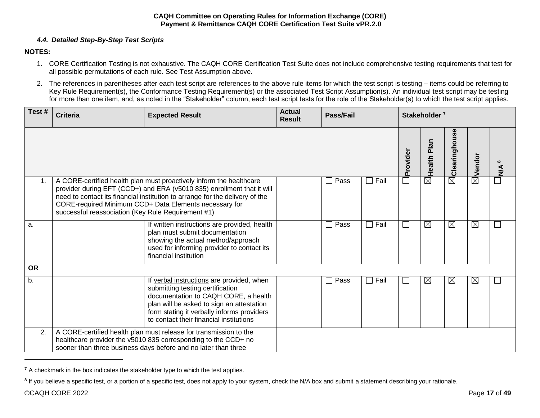# *4.4. Detailed Step-By-Step Test Scripts*

# <span id="page-16-0"></span>**NOTES:**

- 1. CORE Certification Testing is not exhaustive. The CAQH CORE Certification Test Suite does not include comprehensive testing requirements that test for all possible permutations of each rule. See Test Assumption above.
- 2. The references in parentheses after each test script are references to the above rule items for which the test script is testing items could be referring to Key Rule Requirement(s), the Conformance Testing Requirement(s) or the associated Test Script Assumption(s). An individual test script may be testing for more than one item, and, as noted in the "Stakeholder" column, each test script tests for the role of the Stakeholder(s) to which the test script applies.

| Test#            | <b>Criteria</b>                                                                                                                                                                                       | <b>Expected Result</b>                                                                                                                                                                                                                                                                  | <b>Actual</b><br><b>Result</b> | <b>Pass/Fail</b> |                |                | Stakeholder <sup>7</sup> |                          |             |  |
|------------------|-------------------------------------------------------------------------------------------------------------------------------------------------------------------------------------------------------|-----------------------------------------------------------------------------------------------------------------------------------------------------------------------------------------------------------------------------------------------------------------------------------------|--------------------------------|------------------|----------------|----------------|--------------------------|--------------------------|-------------|--|
|                  |                                                                                                                                                                                                       |                                                                                                                                                                                                                                                                                         |                                |                  |                | Provider       | Plan<br>Health           | <b>in</b><br>Clearinghou | endor       |  |
| 1.               | successful reassociation (Key Rule Requirement #1)                                                                                                                                                    | A CORE-certified health plan must proactively inform the healthcare<br>provider during EFT (CCD+) and ERA (v5010 835) enrollment that it will<br>need to contact its financial institution to arrange for the delivery of the<br>CORE-required Minimum CCD+ Data Elements necessary for |                                | Pass             | Fail<br>$\Box$ | $\mathcal{L}$  | $\boxtimes$              | $\boxtimes$              | $\boxtimes$ |  |
| a.               |                                                                                                                                                                                                       | If written instructions are provided, health<br>plan must submit documentation<br>showing the actual method/approach<br>used for informing provider to contact its<br>financial institution                                                                                             |                                | Pass             | Fail<br>ட      | $\Box$         | $\boxtimes$              | $\boxtimes$              | $\boxtimes$ |  |
| <b>OR</b>        |                                                                                                                                                                                                       |                                                                                                                                                                                                                                                                                         |                                |                  |                |                |                          |                          |             |  |
| $\overline{b}$ . |                                                                                                                                                                                                       | If verbal instructions are provided, when<br>submitting testing certification<br>documentation to CAQH CORE, a health<br>plan will be asked to sign an attestation<br>form stating it verbally informs providers<br>to contact their financial institutions                             |                                | Pass             | $\Box$ Fail    | $\blacksquare$ | $\boxtimes$              | $\boxtimes$              | $\boxtimes$ |  |
| 2.               | A CORE-certified health plan must release for transmission to the<br>healthcare provider the v5010 835 corresponding to the CCD+ no<br>sooner than three business days before and no later than three |                                                                                                                                                                                                                                                                                         |                                |                  |                |                |                          |                          |             |  |

**<sup>7</sup>** A checkmark in the box indicates the stakeholder type to which the test applies.

**<sup>8</sup>** If you believe a specific test, or a portion of a specific test, does not apply to your system, check the N/A box and submit a statement describing your rationale.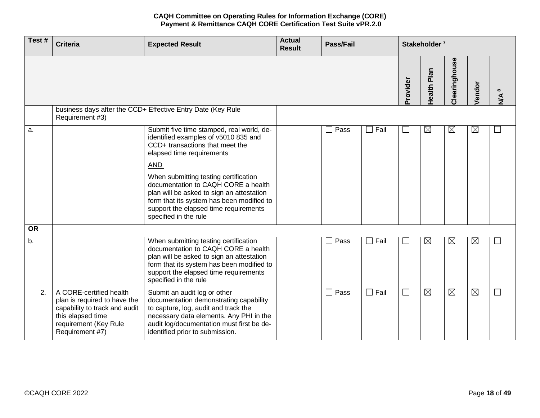| Test#     | <b>Criteria</b>                                                                                                                                           | <b>Expected Result</b>                                                                                                                                                                                                                                                                                                                                                                                      | <b>Actual</b><br><b>Result</b> | <b>Pass/Fail</b>       |             |                          | Stakeholder <sup>7</sup> |               |             |                           |
|-----------|-----------------------------------------------------------------------------------------------------------------------------------------------------------|-------------------------------------------------------------------------------------------------------------------------------------------------------------------------------------------------------------------------------------------------------------------------------------------------------------------------------------------------------------------------------------------------------------|--------------------------------|------------------------|-------------|--------------------------|--------------------------|---------------|-------------|---------------------------|
|           |                                                                                                                                                           |                                                                                                                                                                                                                                                                                                                                                                                                             |                                |                        |             | Provider                 | <b>Health Plan</b>       | Clearinghouse | Vendor      | $\infty$<br>$\frac{4}{2}$ |
|           | Requirement #3)                                                                                                                                           | business days after the CCD+ Effective Entry Date (Key Rule                                                                                                                                                                                                                                                                                                                                                 |                                |                        |             |                          |                          |               |             |                           |
| a.        |                                                                                                                                                           | Submit five time stamped, real world, de-<br>identified examples of v5010 835 and<br>CCD+ transactions that meet the<br>elapsed time requirements<br><b>AND</b><br>When submitting testing certification<br>documentation to CAQH CORE a health<br>plan will be asked to sign an attestation<br>form that its system has been modified to<br>support the elapsed time requirements<br>specified in the rule |                                | $\square$ Pass         | $\Box$ Fail | ⊔                        | $\boxtimes$              | $\boxtimes$   | $\boxtimes$ |                           |
| <b>OR</b> |                                                                                                                                                           |                                                                                                                                                                                                                                                                                                                                                                                                             |                                |                        |             |                          |                          |               |             |                           |
| b.        |                                                                                                                                                           | When submitting testing certification<br>documentation to CAQH CORE a health<br>plan will be asked to sign an attestation<br>form that its system has been modified to<br>support the elapsed time requirements<br>specified in the rule                                                                                                                                                                    |                                | Pass<br>$\blacksquare$ | $\Box$ Fail | $\overline{\phantom{a}}$ | $\boxtimes$              | $\boxtimes$   | $\boxtimes$ | $\mathsf{L}$              |
| 2.        | A CORE-certified health<br>plan is required to have the<br>capability to track and audit<br>this elapsed time<br>requirement (Key Rule<br>Requirement #7) | Submit an audit log or other<br>documentation demonstrating capability<br>to capture, log, audit and track the<br>necessary data elements. Any PHI in the<br>audit log/documentation must first be de-<br>identified prior to submission.                                                                                                                                                                   |                                | $\Box$ Pass            | $\Box$ Fail | $\Box$                   | $\boxtimes$              | $\boxtimes$   | $\boxtimes$ | ⊔                         |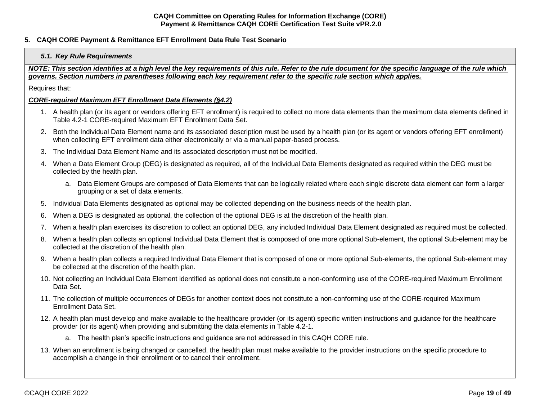# <span id="page-18-1"></span><span id="page-18-0"></span>**5. CAQH CORE Payment & Remittance EFT Enrollment Data Rule Test Scenario**

### *5.1. Key Rule Requirements*

*NOTE: This section identifies at a high level the key requirements of this rule. Refer to the rule document for the specific language of the rule which governs. Section numbers in parentheses following each key requirement refer to the specific rule section which applies.*

Requires that:

## *CORE-required Maximum EFT Enrollment Data Elements (§4.2)*

- 1. A health plan (or its agent or vendors offering EFT enrollment) is required to collect no more data elements than the maximum data elements defined in Table 4.2-1 CORE-required Maximum EFT Enrollment Data Set.
- 2. Both the Individual Data Element name and its associated description must be used by a health plan (or its agent or vendors offering EFT enrollment) when collecting EFT enrollment data either electronically or via a manual paper-based process.
- 3. The Individual Data Element Name and its associated description must not be modified.
- 4. When a Data Element Group (DEG) is designated as required, all of the Individual Data Elements designated as required within the DEG must be collected by the health plan.
	- a. Data Element Groups are composed of Data Elements that can be logically related where each single discrete data element can form a larger grouping or a set of data elements.
- 5. Individual Data Elements designated as optional may be collected depending on the business needs of the health plan.
- 6. When a DEG is designated as optional, the collection of the optional DEG is at the discretion of the health plan.
- 7. When a health plan exercises its discretion to collect an optional DEG, any included Individual Data Element designated as required must be collected.
- 8. When a health plan collects an optional Individual Data Element that is composed of one more optional Sub-element, the optional Sub-element may be collected at the discretion of the health plan.
- 9. When a health plan collects a required Individual Data Element that is composed of one or more optional Sub-elements, the optional Sub-element may be collected at the discretion of the health plan.
- 10. Not collecting an Individual Data Element identified as optional does not constitute a non-conforming use of the CORE-required Maximum Enrollment Data Set.
- 11. The collection of multiple occurrences of DEGs for another context does not constitute a non-conforming use of the CORE-required Maximum Enrollment Data Set.
- 12. A health plan must develop and make available to the healthcare provider (or its agent) specific written instructions and guidance for the healthcare provider (or its agent) when providing and submitting the data elements in Table 4.2-1.
	- a. The health plan's specific instructions and guidance are not addressed in this CAQH CORE rule.
- 13. When an enrollment is being changed or cancelled, the health plan must make available to the provider instructions on the specific procedure to accomplish a change in their enrollment or to cancel their enrollment.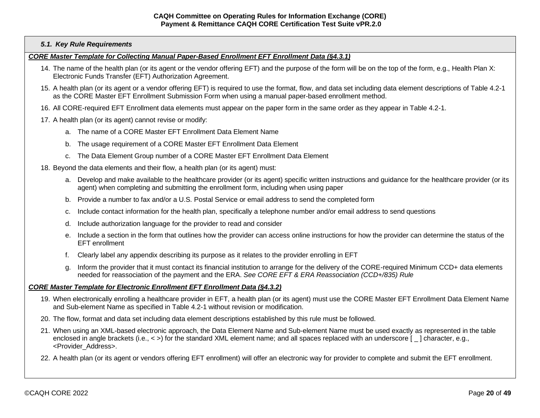### *5.1. Key Rule Requirements*

#### *CORE Master Template for Collecting Manual Paper-Based Enrollment EFT Enrollment Data (§4.3.1)*

- 14. The name of the health plan (or its agent or the vendor offering EFT) and the purpose of the form will be on the top of the form, e.g., Health Plan X: Electronic Funds Transfer (EFT) Authorization Agreement.
- 15. A health plan (or its agent or a vendor offering EFT) is required to use the format, flow, and data set including data element descriptions of Table 4.2-1 as the CORE Master EFT Enrollment Submission Form when using a manual paper-based enrollment method.
- 16. All CORE-required EFT Enrollment data elements must appear on the paper form in the same order as they appear in Table 4.2-1.
- 17. A health plan (or its agent) cannot revise or modify:
	- a. The name of a CORE Master EFT Enrollment Data Element Name
	- b. The usage requirement of a CORE Master EFT Enrollment Data Element
	- c. The Data Element Group number of a CORE Master EFT Enrollment Data Element
- 18. Beyond the data elements and their flow, a health plan (or its agent) must:
	- a. Develop and make available to the healthcare provider (or its agent) specific written instructions and guidance for the healthcare provider (or its agent) when completing and submitting the enrollment form, including when using paper
	- b. Provide a number to fax and/or a U.S. Postal Service or email address to send the completed form
	- c. Include contact information for the health plan, specifically a telephone number and/or email address to send questions
	- d. Include authorization language for the provider to read and consider
	- e. Include a section in the form that outlines how the provider can access online instructions for how the provider can determine the status of the EFT enrollment
	- f. Clearly label any appendix describing its purpose as it relates to the provider enrolling in EFT
	- g. Inform the provider that it must contact its financial institution to arrange for the delivery of the CORE-required Minimum CCD+ data elements needed for reassociation of the payment and the ERA. *See CORE EFT & ERA Reassociation (CCD+/835) Rule*

#### *CORE Master Template for Electronic Enrollment EFT Enrollment Data (§4.3.2)*

- 19. When electronically enrolling a healthcare provider in EFT, a health plan (or its agent) must use the CORE Master EFT Enrollment Data Element Name and Sub-element Name as specified in Table 4.2-1 without revision or modification.
- 20. The flow, format and data set including data element descriptions established by this rule must be followed.
- 21. When using an XML-based electronic approach, the Data Element Name and Sub-element Name must be used exactly as represented in the table enclosed in angle brackets (i.e., < >) for the standard XML element name; and all spaces replaced with an underscore [ ] character, e.g., <Provider\_Address>.
- 22. A health plan (or its agent or vendors offering EFT enrollment) will offer an electronic way for provider to complete and submit the EFT enrollment.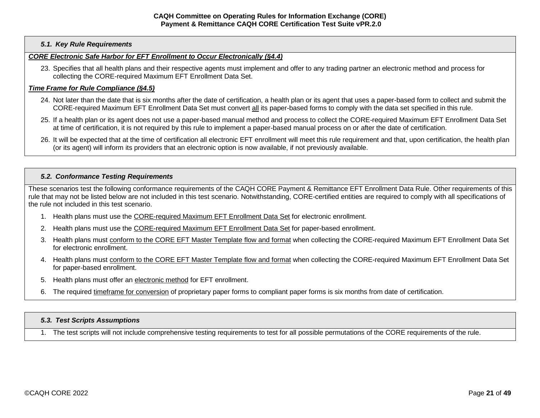## *5.1. Key Rule Requirements*

# *CORE Electronic Safe Harbor for EFT Enrollment to Occur Electronically (§4.4)*

23. Specifies that all health plans and their respective agents must implement and offer to any trading partner an electronic method and process for collecting the CORE-required Maximum EFT Enrollment Data Set.

# *Time Frame for Rule Compliance (§4.5)*

- 24. Not later than the date that is six months after the date of certification, a health plan or its agent that uses a paper-based form to collect and submit the CORE-required Maximum EFT Enrollment Data Set must convert all its paper-based forms to comply with the data set specified in this rule.
- 25. If a health plan or its agent does not use a paper-based manual method and process to collect the CORE-required Maximum EFT Enrollment Data Set at time of certification, it is not required by this rule to implement a paper-based manual process on or after the date of certification.
- 26. It will be expected that at the time of certification all electronic EFT enrollment will meet this rule requirement and that, upon certification, the health plan (or its agent) will inform its providers that an electronic option is now available, if not previously available.

# <span id="page-20-0"></span>*5.2. Conformance Testing Requirements*

These scenarios test the following conformance requirements of the CAQH CORE Payment & Remittance EFT Enrollment Data Rule. Other requirements of this rule that may not be listed below are not included in this test scenario. Notwithstanding, CORE-certified entities are required to comply with all specifications of the rule not included in this test scenario.

- 1. Health plans must use the CORE-required Maximum EFT Enrollment Data Set for electronic enrollment.
- 2. Health plans must use the CORE-required Maximum EFT Enrollment Data Set for paper-based enrollment.
- 3. Health plans must conform to the CORE EFT Master Template flow and format when collecting the CORE-required Maximum EFT Enrollment Data Set for electronic enrollment.
- 4. Health plans must conform to the CORE EFT Master Template flow and format when collecting the CORE-required Maximum EFT Enrollment Data Set for paper-based enrollment.
- 5. Health plans must offer an electronic method for EFT enrollment.
- 6. The required timeframe for conversion of proprietary paper forms to compliant paper forms is six months from date of certification.

# <span id="page-20-1"></span>*5.3. Test Scripts Assumptions*

1. The test scripts will not include comprehensive testing requirements to test for all possible permutations of the CORE requirements of the rule.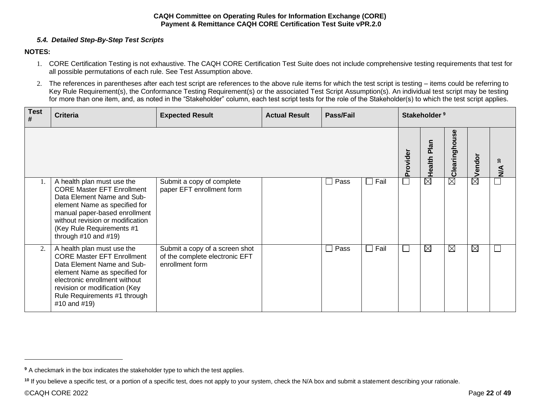# *5.4. Detailed Step-By-Step Test Scripts*

# <span id="page-21-0"></span>**NOTES:**

- 1. CORE Certification Testing is not exhaustive. The CAQH CORE Certification Test Suite does not include comprehensive testing requirements that test for all possible permutations of each rule. See Test Assumption above.
- 2. The references in parentheses after each test script are references to the above rule items for which the test script is testing items could be referring to Key Rule Requirement(s), the Conformance Testing Requirement(s) or the associated Test Script Assumption(s). An individual test script may be testing for more than one item, and, as noted in the "Stakeholder" column, each test script tests for the role of the Stakeholder(s) to which the test script applies.

| <b>Test</b><br># | <b>Criteria</b>                                                                                                                                                                                                                                               | <b>Expected Result</b>                                                              | <b>Actual Result</b> | Pass/Fail              |             | Stakeholder <sup>9</sup>    |                |               |                    |                                           |  |
|------------------|---------------------------------------------------------------------------------------------------------------------------------------------------------------------------------------------------------------------------------------------------------------|-------------------------------------------------------------------------------------|----------------------|------------------------|-------------|-----------------------------|----------------|---------------|--------------------|-------------------------------------------|--|
|                  |                                                                                                                                                                                                                                                               |                                                                                     |                      |                        |             | Provider                    | Plan<br>Health | Clearinghouse | $\boxtimes$ Vendor | $\overline{\phantom{0}}$<br>$\frac{4}{2}$ |  |
|                  | A health plan must use the<br><b>CORE Master EFT Enrollment</b><br>Data Element Name and Sub-<br>element Name as specified for<br>manual paper-based enrollment<br>without revision or modification<br>(Key Rule Requirements #1<br>through $#10$ and $#19$ ) | Submit a copy of complete<br>paper EFT enrollment form                              |                      | Pass<br>$\sim$         | $\Box$ Fail | $\mathcal{L}_{\mathcal{A}}$ | $\boxtimes$    | $\boxtimes$   |                    |                                           |  |
| $\overline{2}$   | A health plan must use the<br><b>CORE Master EFT Enrollment</b><br>Data Element Name and Sub-<br>element Name as specified for<br>electronic enrollment without<br>revision or modification (Key<br>Rule Requirements #1 through<br>#10 and #19)              | Submit a copy of a screen shot<br>of the complete electronic EFT<br>enrollment form |                      | Pass<br>$\blacksquare$ | Fail        | $\Box$                      | ⊠              | $\boxtimes$   | $\boxtimes$        |                                           |  |

**<sup>9</sup>** A checkmark in the box indicates the stakeholder type to which the test applies.

<sup>&</sup>lt;sup>10</sup> If you believe a specific test, or a portion of a specific test, does not apply to your system, check the N/A box and submit a statement describing your rationale.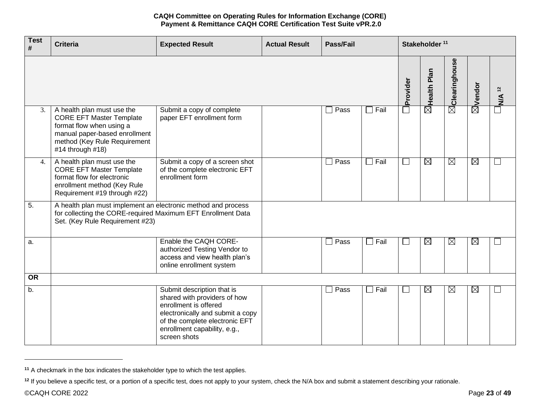| <b>Test</b><br># | <b>Criteria</b>                                                                                                                                                                | <b>Expected Result</b>                                                                                                                                                                                    | <b>Actual Result</b> | <b>Pass/Fail</b> |                |          | Stakeholder <sup>11</sup> |                           |                    |                   |
|------------------|--------------------------------------------------------------------------------------------------------------------------------------------------------------------------------|-----------------------------------------------------------------------------------------------------------------------------------------------------------------------------------------------------------|----------------------|------------------|----------------|----------|---------------------------|---------------------------|--------------------|-------------------|
|                  |                                                                                                                                                                                |                                                                                                                                                                                                           |                      |                  |                | Provider | $\boxtimes$ Health Plan   | $\boxtimes$ Clearinghouse | $\boxtimes$ Vendor | N/A <sup>12</sup> |
| 3.               | A health plan must use the<br><b>CORE EFT Master Template</b><br>format flow when using a<br>manual paper-based enrollment<br>method (Key Rule Requirement<br>#14 through #18) | Submit a copy of complete<br>paper EFT enrollment form                                                                                                                                                    |                      | Pass             | $\Box$ Fail    | $\Box$   |                           |                           |                    |                   |
| 4.               | A health plan must use the<br><b>CORE EFT Master Template</b><br>format flow for electronic<br>enrollment method (Key Rule<br>Requirement #19 through #22)                     | Submit a copy of a screen shot<br>of the complete electronic EFT<br>enrollment form                                                                                                                       |                      | Pass             | $\Box$ Fail    | $\Box$   | $\boxtimes$               | $\boxtimes$               | $\boxtimes$        | $\Box$            |
| $\overline{5}$ . | A health plan must implement an electronic method and process<br>for collecting the CORE-required Maximum EFT Enrollment Data<br>Set. (Key Rule Requirement #23)               |                                                                                                                                                                                                           |                      |                  |                |          |                           |                           |                    |                   |
| a.               |                                                                                                                                                                                | Enable the CAQH CORE-<br>authorized Testing Vendor to<br>access and view health plan's<br>online enrollment system                                                                                        |                      | $\Box$ Pass      | $\Box$ Fail    | $\Box$   | $\overline{\boxtimes}$    | $\boxtimes$               | $\boxtimes$        | ∟                 |
| <b>OR</b>        |                                                                                                                                                                                |                                                                                                                                                                                                           |                      |                  |                |          |                           |                           |                    |                   |
| b.               |                                                                                                                                                                                | Submit description that is<br>shared with providers of how<br>enrollment is offered<br>electronically and submit a copy<br>of the complete electronic EFT<br>enrollment capability, e.g.,<br>screen shots |                      | Pass<br>$\Box$   | Fail<br>$\Box$ | $\Box$   | $\boxtimes$               | $\boxtimes$               | $\boxtimes$        | $\Box$            |

**<sup>11</sup>** A checkmark in the box indicates the stakeholder type to which the test applies.

<sup>&</sup>lt;sup>12</sup> If you believe a specific test, or a portion of a specific test, does not apply to your system, check the N/A box and submit a statement describing your rationale.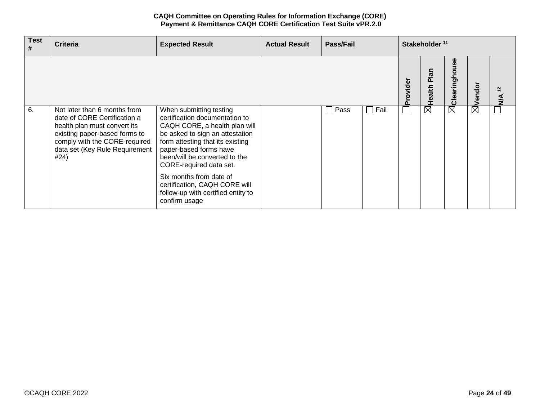| <b>Test</b><br># | <b>Criteria</b>                                                                                                                                                                                          | <b>Expected Result</b>                                                                                                                                                                                                                                  | <b>Actual Result</b> | Pass/Fail | Stakeholder <sup>11</sup> |                                    |                |                         |             |                  |
|------------------|----------------------------------------------------------------------------------------------------------------------------------------------------------------------------------------------------------|---------------------------------------------------------------------------------------------------------------------------------------------------------------------------------------------------------------------------------------------------------|----------------------|-----------|---------------------------|------------------------------------|----------------|-------------------------|-------------|------------------|
|                  |                                                                                                                                                                                                          |                                                                                                                                                                                                                                                         |                      |           |                           | rovider<br>$\overline{\mathbf{a}}$ | Plan<br>Health | မ္ဟ<br>ringhou<br>Clear | Vendo       | $\tilde{r}$<br>⋖ |
| 6.               | Not later than 6 months from<br>date of CORE Certification a<br>health plan must convert its<br>existing paper-based forms to<br>comply with the CORE-required<br>data set (Key Rule Requirement<br>#24) | When submitting testing<br>certification documentation to<br>CAQH CORE, a health plan will<br>be asked to sign an attestation<br>form attesting that its existing<br>paper-based forms have<br>been/will be converted to the<br>CORE-required data set. |                      | Pass      | Fail<br>$\sim$            | $\mathcal{L}_{\mathcal{A}}$        | $\boxtimes$    | $\boxtimes$             | $\boxtimes$ |                  |
|                  |                                                                                                                                                                                                          | Six months from date of<br>certification, CAQH CORE will<br>follow-up with certified entity to<br>confirm usage                                                                                                                                         |                      |           |                           |                                    |                |                         |             |                  |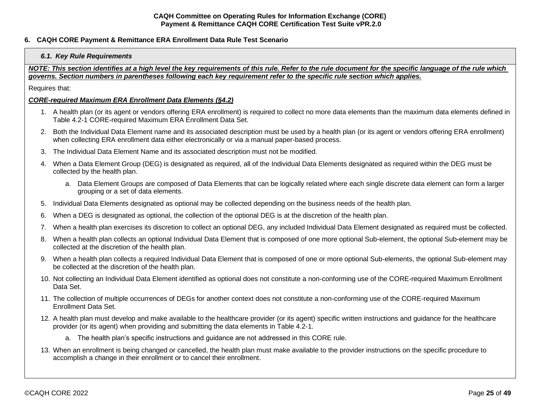# <span id="page-24-1"></span><span id="page-24-0"></span>**6. CAQH CORE Payment & Remittance ERA Enrollment Data Rule Test Scenario**

### *6.1. Key Rule Requirements*

*NOTE: This section identifies at a high level the key requirements of this rule. Refer to the rule document for the specific language of the rule which governs. Section numbers in parentheses following each key requirement refer to the specific rule section which applies.*

Requires that:

### *CORE-required Maximum ERA Enrollment Data Elements (§4.2)*

- 1. A health plan (or its agent or vendors offering ERA enrollment) is required to collect no more data elements than the maximum data elements defined in Table 4.2-1 CORE-required Maximum ERA Enrollment Data Set.
- 2. Both the Individual Data Element name and its associated description must be used by a health plan (or its agent or vendors offering ERA enrollment) when collecting ERA enrollment data either electronically or via a manual paper-based process.
- 3. The Individual Data Element Name and its associated description must not be modified.
- 4. When a Data Element Group (DEG) is designated as required, all of the Individual Data Elements designated as required within the DEG must be collected by the health plan.
	- a. Data Element Groups are composed of Data Elements that can be logically related where each single discrete data element can form a larger grouping or a set of data elements.
- 5. Individual Data Elements designated as optional may be collected depending on the business needs of the health plan.
- 6. When a DEG is designated as optional, the collection of the optional DEG is at the discretion of the health plan.
- 7. When a health plan exercises its discretion to collect an optional DEG, any included Individual Data Element designated as required must be collected.
- 8. When a health plan collects an optional Individual Data Element that is composed of one more optional Sub-element, the optional Sub-element may be collected at the discretion of the health plan.
- 9. When a health plan collects a required Individual Data Element that is composed of one or more optional Sub-elements, the optional Sub-element may be collected at the discretion of the health plan.
- 10. Not collecting an Individual Data Element identified as optional does not constitute a non-conforming use of the CORE-required Maximum Enrollment Data Set.
- 11. The collection of multiple occurrences of DEGs for another context does not constitute a non-conforming use of the CORE-required Maximum Enrollment Data Set.
- 12. A health plan must develop and make available to the healthcare provider (or its agent) specific written instructions and guidance for the healthcare provider (or its agent) when providing and submitting the data elements in Table 4.2-1.
	- a. The health plan's specific instructions and guidance are not addressed in this CORE rule.
- 13. When an enrollment is being changed or cancelled, the health plan must make available to the provider instructions on the specific procedure to accomplish a change in their enrollment or to cancel their enrollment.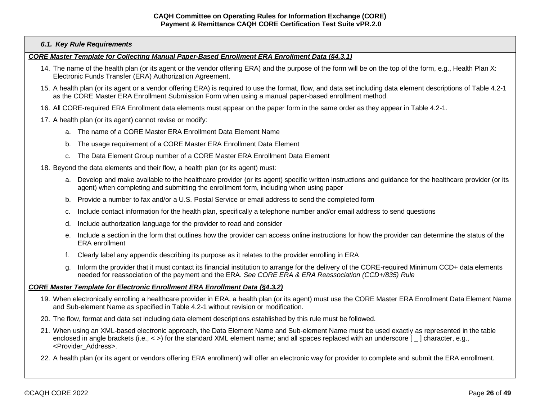### *6.1. Key Rule Requirements*

#### *CORE Master Template for Collecting Manual Paper-Based Enrollment ERA Enrollment Data (§4.3.1)*

- 14. The name of the health plan (or its agent or the vendor offering ERA) and the purpose of the form will be on the top of the form, e.g., Health Plan X: Electronic Funds Transfer (ERA) Authorization Agreement.
- 15. A health plan (or its agent or a vendor offering ERA) is required to use the format, flow, and data set including data element descriptions of Table 4.2-1 as the CORE Master ERA Enrollment Submission Form when using a manual paper-based enrollment method.
- 16. All CORE-required ERA Enrollment data elements must appear on the paper form in the same order as they appear in Table 4.2-1.
- 17. A health plan (or its agent) cannot revise or modify:
	- a. The name of a CORE Master ERA Enrollment Data Element Name
	- b. The usage requirement of a CORE Master ERA Enrollment Data Element
	- c. The Data Element Group number of a CORE Master ERA Enrollment Data Element
- 18. Beyond the data elements and their flow, a health plan (or its agent) must:
	- a. Develop and make available to the healthcare provider (or its agent) specific written instructions and guidance for the healthcare provider (or its agent) when completing and submitting the enrollment form, including when using paper
	- b. Provide a number to fax and/or a U.S. Postal Service or email address to send the completed form
	- c. Include contact information for the health plan, specifically a telephone number and/or email address to send questions
	- d. Include authorization language for the provider to read and consider
	- e. Include a section in the form that outlines how the provider can access online instructions for how the provider can determine the status of the ERA enrollment
	- f. Clearly label any appendix describing its purpose as it relates to the provider enrolling in ERA
	- g. Inform the provider that it must contact its financial institution to arrange for the delivery of the CORE-required Minimum CCD+ data elements needed for reassociation of the payment and the ERA. *See CORE ERA & ERA Reassociation (CCD+/835) Rule*

#### *CORE Master Template for Electronic Enrollment ERA Enrollment Data (§4.3.2)*

- 19. When electronically enrolling a healthcare provider in ERA, a health plan (or its agent) must use the CORE Master ERA Enrollment Data Element Name and Sub-element Name as specified in Table 4.2-1 without revision or modification.
- 20. The flow, format and data set including data element descriptions established by this rule must be followed.
- 21. When using an XML-based electronic approach, the Data Element Name and Sub-element Name must be used exactly as represented in the table enclosed in angle brackets (i.e., < >) for the standard XML element name; and all spaces replaced with an underscore [ ] character, e.g., <Provider\_Address>.
- 22. A health plan (or its agent or vendors offering ERA enrollment) will offer an electronic way for provider to complete and submit the ERA enrollment.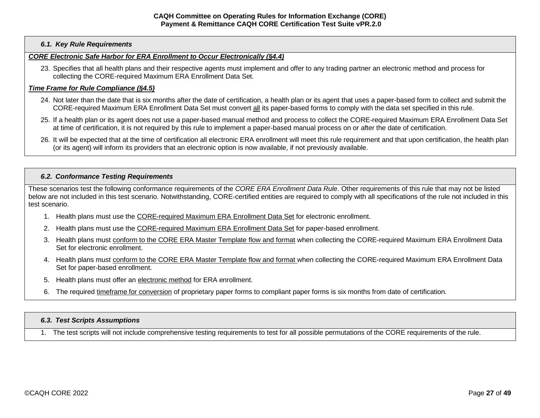## *6.1. Key Rule Requirements*

# *CORE Electronic Safe Harbor for ERA Enrollment to Occur Electronically (§4.4)*

23. Specifies that all health plans and their respective agents must implement and offer to any trading partner an electronic method and process for collecting the CORE-required Maximum ERA Enrollment Data Set.

### *Time Frame for Rule Compliance (§4.5)*

- 24. Not later than the date that is six months after the date of certification, a health plan or its agent that uses a paper-based form to collect and submit the CORE-required Maximum ERA Enrollment Data Set must convert all its paper-based forms to comply with the data set specified in this rule.
- 25. If a health plan or its agent does not use a paper-based manual method and process to collect the CORE-required Maximum ERA Enrollment Data Set at time of certification, it is not required by this rule to implement a paper-based manual process on or after the date of certification.
- 26. It will be expected that at the time of certification all electronic ERA enrollment will meet this rule requirement and that upon certification, the health plan (or its agent) will inform its providers that an electronic option is now available, if not previously available.

#### <span id="page-26-0"></span>*6.2. Conformance Testing Requirements*

These scenarios test the following conformance requirements of the *CORE ERA Enrollment Data Rule*. Other requirements of this rule that may not be listed below are not included in this test scenario. Notwithstanding, CORE-certified entities are required to comply with all specifications of the rule not included in this test scenario.

- 1. Health plans must use the CORE-required Maximum ERA Enrollment Data Set for electronic enrollment.
- 2. Health plans must use the CORE-required Maximum ERA Enrollment Data Set for paper-based enrollment.
- 3. Health plans must conform to the CORE ERA Master Template flow and format when collecting the CORE-required Maximum ERA Enrollment Data Set for electronic enrollment.
- 4. Health plans must conform to the CORE ERA Master Template flow and format when collecting the CORE-required Maximum ERA Enrollment Data Set for paper-based enrollment.
- 5. Health plans must offer an electronic method for ERA enrollment.
- 6. The required timeframe for conversion of proprietary paper forms to compliant paper forms is six months from date of certification.

## <span id="page-26-1"></span>*6.3. Test Scripts Assumptions*

1. The test scripts will not include comprehensive testing requirements to test for all possible permutations of the CORE requirements of the rule.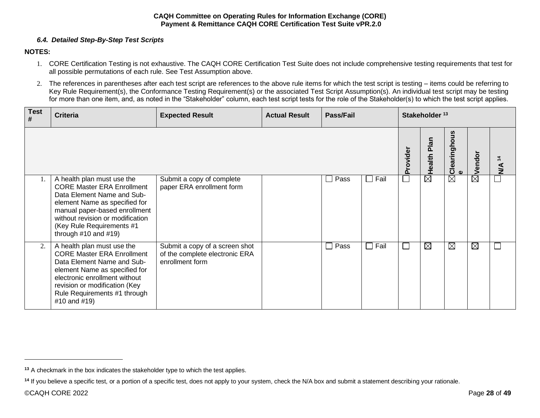# *6.4. Detailed Step-By-Step Test Scripts*

# <span id="page-27-0"></span>**NOTES:**

- 1. CORE Certification Testing is not exhaustive. The CAQH CORE Certification Test Suite does not include comprehensive testing requirements that test for all possible permutations of each rule. See Test Assumption above.
- 2. The references in parentheses after each test script are references to the above rule items for which the test script is testing items could be referring to Key Rule Requirement(s), the Conformance Testing Requirement(s) or the associated Test Script Assumption(s). An individual test script may be testing for more than one item, and, as noted in the "Stakeholder" column, each test script tests for the role of the Stakeholder(s) to which the test script applies.

| <b>Test</b><br># | <b>Criteria</b>                                                                                                                                                                                                                                               | <b>Expected Result</b>                                                              | <b>Actual Result</b> | <b>Pass/Fail</b> |      | Stakeholder <sup>13</sup> |                |                                 |                   |                                |
|------------------|---------------------------------------------------------------------------------------------------------------------------------------------------------------------------------------------------------------------------------------------------------------|-------------------------------------------------------------------------------------|----------------------|------------------|------|---------------------------|----------------|---------------------------------|-------------------|--------------------------------|
|                  |                                                                                                                                                                                                                                                               |                                                                                     |                      |                  |      | Provider                  | Plan<br>Health | <mark> Clearinghous</mark><br>e | Vendor            | $\frac{4}{3}$<br>$\frac{4}{2}$ |
| 1.               | A health plan must use the<br><b>CORE Master ERA Enrollment</b><br>Data Element Name and Sub-<br>element Name as specified for<br>manual paper-based enrollment<br>without revision or modification<br>(Key Rule Requirements #1<br>through $#10$ and $#19$ ) | Submit a copy of complete<br>paper ERA enrollment form                              |                      | Pass             | Fail |                           | $\boxtimes$    | $\boxtimes$                     | $\bar{\boxtimes}$ |                                |
| 2.               | A health plan must use the<br><b>CORE Master ERA Enrollment</b><br>Data Element Name and Sub-<br>element Name as specified for<br>electronic enrollment without<br>revision or modification (Key<br>Rule Requirements #1 through<br>#10 and #19)              | Submit a copy of a screen shot<br>of the complete electronic ERA<br>enrollment form |                      | Pass             | Fail | $\sim$                    | ⊠              | $\boxtimes$                     | $\boxtimes$       |                                |

**<sup>13</sup>** A checkmark in the box indicates the stakeholder type to which the test applies.

<sup>&</sup>lt;sup>14</sup> If you believe a specific test, or a portion of a specific test, does not apply to your system, check the N/A box and submit a statement describing your rationale.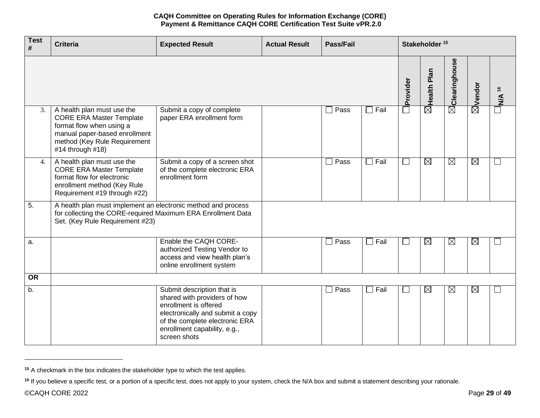| <b>Test</b><br># | <b>Criteria</b>                                                                                                                                                                | <b>Expected Result</b>                                                                                                                                                                                    | <b>Actual Result</b> | <b>Pass/Fail</b> |                |          | Stakeholder <sup>15</sup> |                           |                    |                   |
|------------------|--------------------------------------------------------------------------------------------------------------------------------------------------------------------------------|-----------------------------------------------------------------------------------------------------------------------------------------------------------------------------------------------------------|----------------------|------------------|----------------|----------|---------------------------|---------------------------|--------------------|-------------------|
|                  |                                                                                                                                                                                |                                                                                                                                                                                                           |                      |                  |                | Provider | $\boxtimes$ Health Plan   | $\boxtimes$ Clearinghouse | $\boxtimes$ Vendor | N/A <sup>16</sup> |
| 3.               | A health plan must use the<br><b>CORE ERA Master Template</b><br>format flow when using a<br>manual paper-based enrollment<br>method (Key Rule Requirement<br>#14 through #18) | Submit a copy of complete<br>paper ERA enrollment form                                                                                                                                                    |                      | Pass             | $\Box$ Fail    | $\Box$   |                           |                           |                    |                   |
| 4.               | A health plan must use the<br><b>CORE ERA Master Template</b><br>format flow for electronic<br>enrollment method (Key Rule<br>Requirement #19 through #22)                     | Submit a copy of a screen shot<br>of the complete electronic ERA<br>enrollment form                                                                                                                       |                      | Pass             | $\Box$ Fail    | $\Box$   | $\boxtimes$               | $\boxtimes$               | $\boxtimes$        | $\Box$            |
| $\overline{5}$ . | A health plan must implement an electronic method and process<br>for collecting the CORE-required Maximum ERA Enrollment Data<br>Set. (Key Rule Requirement #23)               |                                                                                                                                                                                                           |                      |                  |                |          |                           |                           |                    |                   |
| a.               |                                                                                                                                                                                | Enable the CAQH CORE-<br>authorized Testing Vendor to<br>access and view health plan's<br>online enrollment system                                                                                        |                      | $\Box$ Pass      | $\Box$ Fail    | $\Box$   | $\overline{\boxtimes}$    | $\boxtimes$               | $\boxtimes$        | ∟                 |
| <b>OR</b>        |                                                                                                                                                                                |                                                                                                                                                                                                           |                      |                  |                |          |                           |                           |                    |                   |
| b.               |                                                                                                                                                                                | Submit description that is<br>shared with providers of how<br>enrollment is offered<br>electronically and submit a copy<br>of the complete electronic ERA<br>enrollment capability, e.g.,<br>screen shots |                      | Pass<br>$\Box$   | Fail<br>$\Box$ | $\Box$   | $\boxtimes$               | $\boxtimes$               | $\boxtimes$        | $\Box$            |

**<sup>15</sup>** A checkmark in the box indicates the stakeholder type to which the test applies.

<sup>&</sup>lt;sup>16</sup> If you believe a specific test, or a portion of a specific test, does not apply to your system, check the N/A box and submit a statement describing your rationale.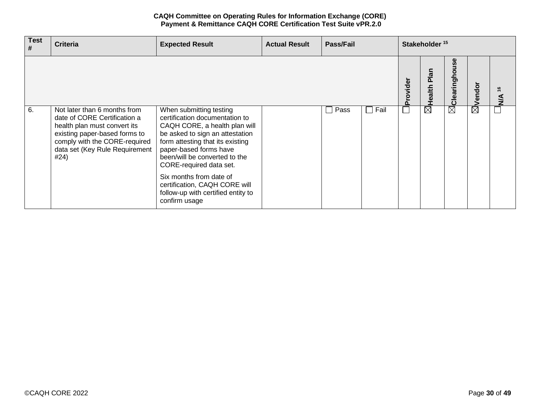| <b>Test</b><br># | <b>Criteria</b>                                                                                                                                                                                          | <b>Expected Result</b>                                                                                                                                                                                                                                  | <b>Actual Result</b> | Pass/Fail |                |                             | Stakeholder <sup>15</sup> |                   |             |                         |
|------------------|----------------------------------------------------------------------------------------------------------------------------------------------------------------------------------------------------------|---------------------------------------------------------------------------------------------------------------------------------------------------------------------------------------------------------------------------------------------------------|----------------------|-----------|----------------|-----------------------------|---------------------------|-------------------|-------------|-------------------------|
|                  |                                                                                                                                                                                                          |                                                                                                                                                                                                                                                         |                      |           |                | Provider                    | Plan<br>Health            | မ္ဟ<br>Clearingho | Vendo       | $\frac{6}{5}$<br>≤<br>≥ |
| 6.               | Not later than 6 months from<br>date of CORE Certification a<br>health plan must convert its<br>existing paper-based forms to<br>comply with the CORE-required<br>data set (Key Rule Requirement<br>#24) | When submitting testing<br>certification documentation to<br>CAQH CORE, a health plan will<br>be asked to sign an attestation<br>form attesting that its existing<br>paper-based forms have<br>been/will be converted to the<br>CORE-required data set. |                      | Pass      | Fail<br>$\Box$ | $\mathcal{L}_{\mathcal{A}}$ | $\boxtimes$               | $\boxtimes$       | $\boxtimes$ |                         |
|                  |                                                                                                                                                                                                          | Six months from date of<br>certification, CAQH CORE will<br>follow-up with certified entity to<br>confirm usage                                                                                                                                         |                      |           |                |                             |                           |                   |             |                         |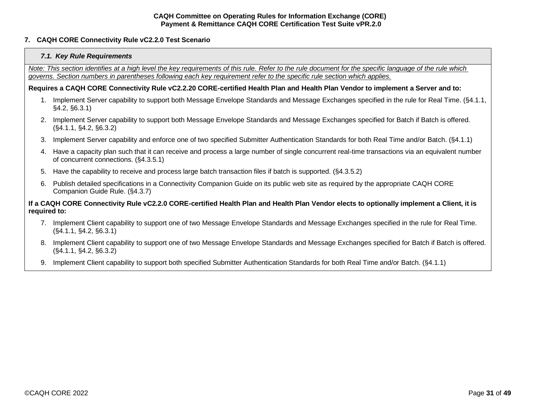# <span id="page-30-1"></span><span id="page-30-0"></span>**7. CAQH CORE Connectivity Rule vC2.2.0 Test Scenario**

### *7.1. Key Rule Requirements*

*Note: This section identifies at a high level the key requirements of this rule. Refer to the rule document for the specific language of the rule which governs. Section numbers in parentheses following each key requirement refer to the specific rule section which applies.*

#### **Requires a CAQH CORE Connectivity Rule vC2.2.20 CORE-certified Health Plan and Health Plan Vendor to implement a Server and to:**

- 1. Implement Server capability to support both Message Envelope Standards and Message Exchanges specified in the rule for Real Time. (§4.1.1, §4.2, §6.3.1)
- 2. Implement Server capability to support both Message Envelope Standards and Message Exchanges specified for Batch if Batch is offered. (§4.1.1, §4.2, §6.3.2)
- 3. Implement Server capability and enforce one of two specified Submitter Authentication Standards for both Real Time and/or Batch. (§4.1.1)
- 4. Have a capacity plan such that it can receive and process a large number of single concurrent real-time transactions via an equivalent number of concurrent connections. (§4.3.5.1)
- 5. Have the capability to receive and process large batch transaction files if batch is supported. (§4.3.5.2)
- 6. Publish detailed specifications in a Connectivity Companion Guide on its public web site as required by the appropriate CAQH CORE Companion Guide Rule. (§4.3.7)

# **If a CAQH CORE Connectivity Rule vC2.2.0 CORE-certified Health Plan and Health Plan Vendor elects to optionally implement a Client, it is required to:**

- 7. Implement Client capability to support one of two Message Envelope Standards and Message Exchanges specified in the rule for Real Time. (§4.1.1, §4.2, §6.3.1)
- 8. Implement Client capability to support one of two Message Envelope Standards and Message Exchanges specified for Batch if Batch is offered. (§4.1.1, §4.2, §6.3.2)
- 9. Implement Client capability to support both specified Submitter Authentication Standards for both Real Time and/or Batch. (§4.1.1)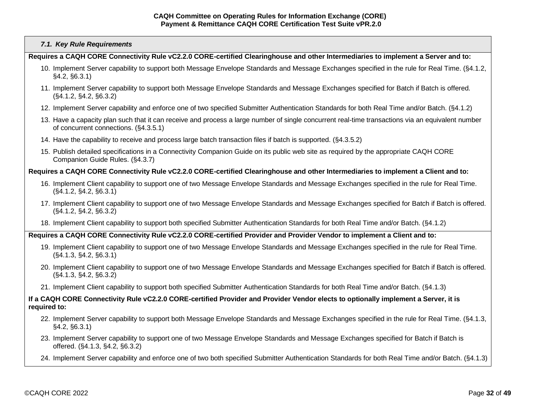### *7.1. Key Rule Requirements*

**Requires a CAQH CORE Connectivity Rule vC2.2.0 CORE-certified Clearinghouse and other Intermediaries to implement a Server and to:**

- 10. Implement Server capability to support both Message Envelope Standards and Message Exchanges specified in the rule for Real Time. (§4.1.2, §4.2, §6.3.1)
- 11. Implement Server capability to support both Message Envelope Standards and Message Exchanges specified for Batch if Batch is offered. (§4.1.2, §4.2, §6.3.2)
- 12. Implement Server capability and enforce one of two specified Submitter Authentication Standards for both Real Time and/or Batch. (§4.1.2)
- 13. Have a capacity plan such that it can receive and process a large number of single concurrent real-time transactions via an equivalent number of concurrent connections. (§4.3.5.1)
- 14. Have the capability to receive and process large batch transaction files if batch is supported. (§4.3.5.2)
- 15. Publish detailed specifications in a Connectivity Companion Guide on its public web site as required by the appropriate CAQH CORE Companion Guide Rules. (§4.3.7)

# **Requires a CAQH CORE Connectivity Rule vC2.2.0 CORE-certified Clearinghouse and other Intermediaries to implement a Client and to:**

- 16. Implement Client capability to support one of two Message Envelope Standards and Message Exchanges specified in the rule for Real Time. (§4.1.2, §4.2, §6.3.1)
- 17. Implement Client capability to support one of two Message Envelope Standards and Message Exchanges specified for Batch if Batch is offered. (§4.1.2, §4.2, §6.3.2)
- 18. Implement Client capability to support both specified Submitter Authentication Standards for both Real Time and/or Batch. (§4.1.2)

#### **Requires a CAQH CORE Connectivity Rule vC2.2.0 CORE-certified Provider and Provider Vendor to implement a Client and to:**

- 19. Implement Client capability to support one of two Message Envelope Standards and Message Exchanges specified in the rule for Real Time. (§4.1.3, §4.2, §6.3.1)
- 20. Implement Client capability to support one of two Message Envelope Standards and Message Exchanges specified for Batch if Batch is offered. (§4.1.3, §4.2, §6.3.2)
- 21. Implement Client capability to support both specified Submitter Authentication Standards for both Real Time and/or Batch. (§4.1.3)

## **If a CAQH CORE Connectivity Rule vC2.2.0 CORE-certified Provider and Provider Vendor elects to optionally implement a Server, it is required to:**

- 22. Implement Server capability to support both Message Envelope Standards and Message Exchanges specified in the rule for Real Time. (§4.1.3, §4.2, §6.3.1)
- 23. Implement Server capability to support one of two Message Envelope Standards and Message Exchanges specified for Batch if Batch is offered. (§4.1.3, §4.2, §6.3.2)
- 24. Implement Server capability and enforce one of two both specified Submitter Authentication Standards for both Real Time and/or Batch. (§4.1.3)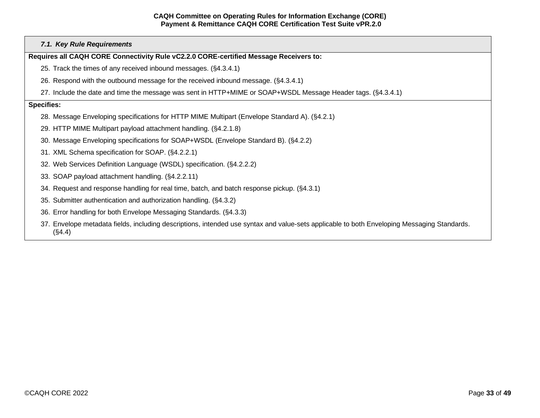|                   | 7.1. Key Rule Requirements                                                                                                                            |
|-------------------|-------------------------------------------------------------------------------------------------------------------------------------------------------|
|                   | Requires all CAQH CORE Connectivity Rule vC2.2.0 CORE-certified Message Receivers to:                                                                 |
|                   | 25. Track the times of any received inbound messages. (§4.3.4.1)                                                                                      |
|                   | 26. Respond with the outbound message for the received inbound message. (\$4.3.4.1)                                                                   |
|                   | 27. Include the date and time the message was sent in HTTP+MIME or SOAP+WSDL Message Header tags. (§4.3.4.1)                                          |
| <b>Specifies:</b> |                                                                                                                                                       |
|                   | 28. Message Enveloping specifications for HTTP MIME Multipart (Envelope Standard A). (§4.2.1)                                                         |
|                   | 29. HTTP MIME Multipart payload attachment handling. (§4.2.1.8)                                                                                       |
|                   | 30. Message Enveloping specifications for SOAP+WSDL (Envelope Standard B). (§4.2.2)                                                                   |
|                   | 31. XML Schema specification for SOAP. (§4.2.2.1)                                                                                                     |
|                   | 32. Web Services Definition Language (WSDL) specification. (§4.2.2.2)                                                                                 |
|                   | 33. SOAP payload attachment handling. (§4.2.2.11)                                                                                                     |
|                   | 34. Request and response handling for real time, batch, and batch response pickup. (§4.3.1)                                                           |
|                   | 35. Submitter authentication and authorization handling. (§4.3.2)                                                                                     |
|                   | 36. Error handling for both Envelope Messaging Standards. (§4.3.3)                                                                                    |
|                   | 37. Envelope metadata fields, including descriptions, intended use syntax and value-sets applicable to both Enveloping Messaging Standards.<br>(S4.4) |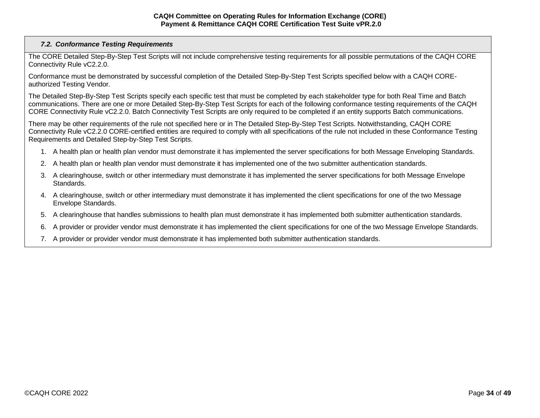# <span id="page-33-0"></span>*7.2. Conformance Testing Requirements*

The CORE Detailed Step-By-Step Test Scripts will not include comprehensive testing requirements for all possible permutations of the CAQH CORE Connectivity Rule vC2.2.0.

Conformance must be demonstrated by successful completion of the Detailed Step-By-Step Test Scripts specified below with a CAQH COREauthorized Testing Vendor*.*

The Detailed Step-By-Step Test Scripts specify each specific test that must be completed by each stakeholder type for both Real Time and Batch communications. There are one or more Detailed Step-By-Step Test Scripts for each of the following conformance testing requirements of the CAQH CORE Connectivity Rule vC2.2.0. Batch Connectivity Test Scripts are only required to be completed if an entity supports Batch communications.

There may be other requirements of the rule not specified here or in The Detailed Step-By-Step Test Scripts. Notwithstanding, CAQH CORE Connectivity Rule vC2.2.0 CORE-certified entities are required to comply with all specifications of the rule not included in these Conformance Testing Requirements and Detailed Step-by-Step Test Scripts.

- 1. A health plan or health plan vendor must demonstrate it has implemented the server specifications for both Message Enveloping Standards.
- 2. A health plan or health plan vendor must demonstrate it has implemented one of the two submitter authentication standards.
- 3. A clearinghouse, switch or other intermediary must demonstrate it has implemented the server specifications for both Message Envelope Standards.
- 4. A clearinghouse, switch or other intermediary must demonstrate it has implemented the client specifications for one of the two Message Envelope Standards.
- 5. A clearinghouse that handles submissions to health plan must demonstrate it has implemented both submitter authentication standards.
- 6. A provider or provider vendor must demonstrate it has implemented the client specifications for one of the two Message Envelope Standards.
- 7. A provider or provider vendor must demonstrate it has implemented both submitter authentication standards.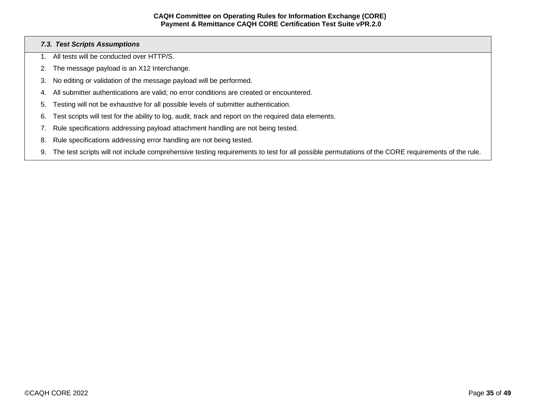# <span id="page-34-0"></span>*7.3. Test Scripts Assumptions*

- 1. All tests will be conducted over HTTP/S.
- 2. The message payload is an X12 Interchange.
- 3. No editing or validation of the message payload will be performed.
- 4. All submitter authentications are valid; no error conditions are created or encountered.
- 5. Testing will not be exhaustive for all possible levels of submitter authentication.
- 6. Test scripts will test for the ability to log, audit, track and report on the required data elements.
- 7. Rule specifications addressing payload attachment handling are not being tested.
- 8. Rule specifications addressing error handling are not being tested.
- 9. The test scripts will not include comprehensive testing requirements to test for all possible permutations of the CORE requirements of the rule.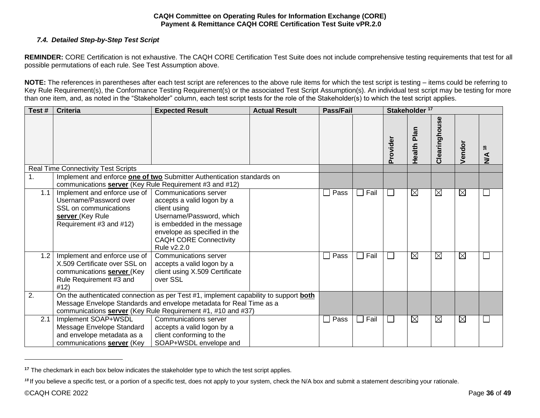# <span id="page-35-0"></span>*7.4. Detailed Step-by-Step Test Script*

**REMINDER:** CORE Certification is not exhaustive. The CAQH CORE Certification Test Suite does not include comprehensive testing requirements that test for all possible permutations of each rule. See Test Assumption above.

**NOTE:** The references in parentheses after each test script are references to the above rule items for which the test script is testing – items could be referring to Key Rule Requirement(s), the Conformance Testing Requirement(s) or the associated Test Script Assumption(s). An individual test script may be testing for more than one item, and, as noted in the "Stakeholder" column, each test script tests for the role of the Stakeholder(s) to which the test script applies.

| Test# | <b>Criteria</b>                                                                                                                       | <b>Expected Result</b>                                                                                                                                                                                                             | <b>Actual Result</b> | <b>Pass/Fail</b> |                 | Stakeholder <sup>17</sup>   |                |                     |             |                                                 |
|-------|---------------------------------------------------------------------------------------------------------------------------------------|------------------------------------------------------------------------------------------------------------------------------------------------------------------------------------------------------------------------------------|----------------------|------------------|-----------------|-----------------------------|----------------|---------------------|-------------|-------------------------------------------------|
|       |                                                                                                                                       |                                                                                                                                                                                                                                    |                      |                  |                 | Provider                    | Plan<br>Health | <b>Clearinghous</b> | Vendor      | $\overset{\circ}{\phantom{a}}$<br>$\frac{3}{2}$ |
|       | <b>Real Time Connectivity Test Scripts</b>                                                                                            |                                                                                                                                                                                                                                    |                      |                  |                 |                             |                |                     |             |                                                 |
| 1.    | communications server (Key Rule Requirement #3 and #12)                                                                               | Implement and enforce <b>one of two</b> Submitter Authentication standards on                                                                                                                                                      |                      |                  |                 |                             |                |                     |             |                                                 |
| 1.1   | Implement and enforce use of<br>Username/Password over<br>SSL on communications<br>server (Key Rule<br>Requirement #3 and #12)        | Communications server<br>accepts a valid logon by a<br>client using<br>Username/Password, which<br>is embedded in the message<br>envelope as specified in the<br><b>CAQH CORE Connectivity</b><br>Rule v2.2.0                      |                      | Pass             | $\Box$ Fail     | $\mathcal{L}_{\mathcal{A}}$ | $\boxtimes$    | $\boxtimes$         | $\boxtimes$ |                                                 |
| 1.2   | Implement and enforce use of<br>X.509 Certificate over SSL on<br>communications <b>server</b> (Key<br>Rule Requirement #3 and<br>#12) | Communications server<br>accepts a valid logon by a<br>client using X.509 Certificate<br>over SSL                                                                                                                                  |                      | $\Box$ Pass      | $\Box$ Fail     | $\mathcal{L}_{\mathcal{A}}$ | $\boxtimes$    | $\boxtimes$         | $\boxtimes$ |                                                 |
| 2.    |                                                                                                                                       | On the authenticated connection as per Test #1, implement capability to support <b>both</b><br>Message Envelope Standards and envelope metadata for Real Time as a<br>communications server (Key Rule Requirement #1, #10 and #37) |                      |                  |                 |                             |                |                     |             |                                                 |
| 2.1   | Implement SOAP+WSDL<br>Message Envelope Standard<br>and envelope metadata as a<br>communications server (Key                          | Communications server<br>accepts a valid logon by a<br>client conforming to the<br>SOAP+WSDL envelope and                                                                                                                          |                      | Pass             | Fail<br>$\perp$ | $\mathcal{L}_{\mathcal{A}}$ | $\boxtimes$    | $\boxtimes$         | $\boxtimes$ |                                                 |

**<sup>17</sup>** The checkmark in each box below indicates the stakeholder type to which the test script applies.

<sup>&</sup>lt;sup>18</sup> If you believe a specific test, or a portion of a specific test, does not apply to your system, check the N/A box and submit a statement describing your rationale.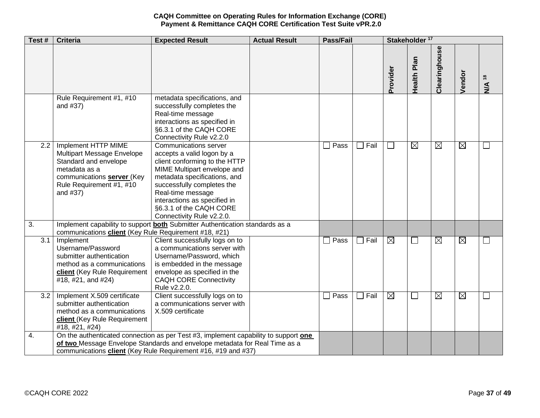| Test#            | <b>Criteria</b>                                                                                                                                                   | <b>Expected Result</b>                                                                                                                                                                                                                                                                         | <b>Actual Result</b> | <b>Pass/Fail</b> |                | Stakeholder <sup>17</sup> |                |               |             |                          |
|------------------|-------------------------------------------------------------------------------------------------------------------------------------------------------------------|------------------------------------------------------------------------------------------------------------------------------------------------------------------------------------------------------------------------------------------------------------------------------------------------|----------------------|------------------|----------------|---------------------------|----------------|---------------|-------------|--------------------------|
|                  |                                                                                                                                                                   |                                                                                                                                                                                                                                                                                                |                      |                  |                | Provider                  | Health Plan    | Clearinghouse | Vendor      | N/A <sup>18</sup>        |
|                  | Rule Requirement #1, #10<br>and #37)                                                                                                                              | metadata specifications, and<br>successfully completes the<br>Real-time message<br>interactions as specified in<br>§6.3.1 of the CAQH CORE<br>Connectivity Rule v2.2.0                                                                                                                         |                      |                  |                |                           |                |               |             |                          |
| $\overline{2.2}$ | Implement HTTP MIME<br>Multipart Message Envelope<br>Standard and envelope<br>metadata as a<br>communications server (Key<br>Rule Requirement #1, #10<br>and #37) | Communications server<br>accepts a valid logon by a<br>client conforming to the HTTP<br>MIME Multipart envelope and<br>metadata specifications, and<br>successfully completes the<br>Real-time message<br>interactions as specified in<br>§6.3.1 of the CAQH CORE<br>Connectivity Rule v2.2.0. |                      | Pass             | Fail<br>$\Box$ |                           | $\boxtimes$    | $\boxtimes$   | $\boxtimes$ | $\overline{\phantom{a}}$ |
| 3.               | communications client (Key Rule Requirement #18, #21)                                                                                                             | Implement capability to support <b>both</b> Submitter Authentication standards as a                                                                                                                                                                                                            |                      |                  |                |                           |                |               |             |                          |
| 3.1              | Implement<br>Username/Password<br>submitter authentication<br>method as a communications<br>client (Key Rule Requirement<br>#18, #21, and #24)                    | Client successfully logs on to<br>a communications server with<br>Username/Password, which<br>is embedded in the message<br>envelope as specified in the<br><b>CAQH CORE Connectivity</b><br>Rule v2.2.0.                                                                                      |                      | Pass             | $\Box$ Fail    | $\boxtimes$               | ×.             | $\boxtimes$   | $\boxtimes$ | ⊔                        |
| 3.2              | Implement X.509 certificate<br>submitter authentication<br>method as a communications<br>client (Key Rule Requirement<br>#18, #21, #24)                           | Client successfully logs on to<br>a communications server with<br>X.509 certificate                                                                                                                                                                                                            |                      | $\Box$ Pass      | $\Box$ Fail    | $\boxtimes$               | $\blacksquare$ | $\boxtimes$   | $\boxtimes$ | ⊔                        |
| 4.               |                                                                                                                                                                   | On the authenticated connection as per Test #3, implement capability to support one<br>of two Message Envelope Standards and envelope metadata for Real Time as a<br>communications client (Key Rule Requirement #16, #19 and #37)                                                             |                      |                  |                |                           |                |               |             |                          |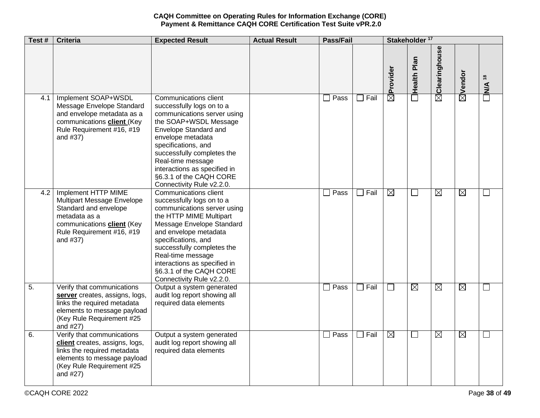| Test#            | <b>Criteria</b>                                                                                                                                                           | <b>Expected Result</b>                                                                                                                                                                                                                                                                                                                      | <b>Actual Result</b> | <b>Pass/Fail</b> |             | Stakeholder <sup>17</sup> |             |               |                    |                                                    |
|------------------|---------------------------------------------------------------------------------------------------------------------------------------------------------------------------|---------------------------------------------------------------------------------------------------------------------------------------------------------------------------------------------------------------------------------------------------------------------------------------------------------------------------------------------|----------------------|------------------|-------------|---------------------------|-------------|---------------|--------------------|----------------------------------------------------|
|                  |                                                                                                                                                                           |                                                                                                                                                                                                                                                                                                                                             |                      |                  |             | Provider                  | Health Plan | Clearinghouse | $\boxtimes$ Vendor | $\overset{\circ}{\phantom{a}}$<br>NVA <sup>-</sup> |
| 4.1              | Implement SOAP+WSDL<br>Message Envelope Standard<br>and envelope metadata as a<br>communications <b>client</b> (Key<br>Rule Requirement #16, #19<br>and #37)              | <b>Communications client</b><br>successfully logs on to a<br>communications server using<br>the SOAP+WSDL Message<br>Envelope Standard and<br>envelope metadata<br>specifications, and<br>successfully completes the<br>Real-time message<br>interactions as specified in<br>§6.3.1 of the CAQH CORE<br>Connectivity Rule v2.2.0.           |                      | Pass             | $\Box$ Fail | $\overline{\boxtimes}$    |             | Ñ             |                    |                                                    |
| 4.2              | Implement HTTP MIME<br>Multipart Message Envelope<br>Standard and envelope<br>metadata as a<br>communications <b>client</b> (Key<br>Rule Requirement #16, #19<br>and #37) | <b>Communications client</b><br>successfully logs on to a<br>communications server using<br>the HTTP MIME Multipart<br>Message Envelope Standard<br>and envelope metadata<br>specifications, and<br>successfully completes the<br>Real-time message<br>interactions as specified in<br>§6.3.1 of the CAQH CORE<br>Connectivity Rule v2.2.0. |                      | Pass             | $\Box$ Fail | $\boxtimes$               |             | $\boxtimes$   | $\boxtimes$        |                                                    |
| $\overline{5}$ . | Verify that communications<br>server creates, assigns, logs,<br>links the required metadata<br>elements to message payload<br>(Key Rule Requirement #25<br>and #27)       | Output a system generated<br>audit log report showing all<br>required data elements                                                                                                                                                                                                                                                         |                      | Pass             | $\Box$ Fail |                           | $\boxtimes$ | $\boxtimes$   | $\boxtimes$        | $\sim$                                             |
| 6.               | Verify that communications<br>client creates, assigns, logs,<br>links the required metadata<br>elements to message payload<br>(Key Rule Requirement #25<br>and #27)       | Output a system generated<br>audit log report showing all<br>required data elements                                                                                                                                                                                                                                                         |                      | Pass             | $\Box$ Fail | $\boxtimes$               | ⊔           | $\boxtimes$   | $\boxtimes$        | $\Box$                                             |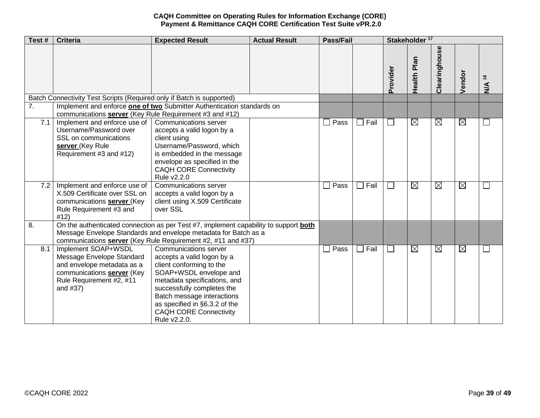| Test# | <b>Criteria</b>                                                                                                                                      | <b>Expected Result</b>                                                                                                                                                                                                                                                                  | <b>Actual Result</b> | <b>Pass/Fail</b>       |                                  | Stakeholder <sup>17</sup> |             |               |             |                                           |
|-------|------------------------------------------------------------------------------------------------------------------------------------------------------|-----------------------------------------------------------------------------------------------------------------------------------------------------------------------------------------------------------------------------------------------------------------------------------------|----------------------|------------------------|----------------------------------|---------------------------|-------------|---------------|-------------|-------------------------------------------|
|       |                                                                                                                                                      |                                                                                                                                                                                                                                                                                         |                      |                        |                                  | Provider                  | Health Plan | Clearinghouse | Vendor      | $\frac{8}{18}$<br>$\overline{\mathbf{y}}$ |
|       | Batch Connectivity Test Scripts (Required only if Batch is supported)                                                                                |                                                                                                                                                                                                                                                                                         |                      |                        |                                  |                           |             |               |             |                                           |
| 7.    | communications server (Key Rule Requirement #3 and #12)                                                                                              | Implement and enforce one of two Submitter Authentication standards on                                                                                                                                                                                                                  |                      |                        |                                  |                           |             |               |             |                                           |
| 7.1   | Implement and enforce use of<br>Username/Password over<br>SSL on communications<br>server (Key Rule<br>Requirement #3 and #12)                       | Communications server<br>accepts a valid logon by a<br>client using<br>Username/Password, which<br>is embedded in the message<br>envelope as specified in the<br><b>CAQH CORE Connectivity</b><br>Rule v2.2.0                                                                           |                      | $\Box$ Pass            | Fail<br>$\blacksquare$           |                           | $\boxtimes$ | $\boxtimes$   | $\boxtimes$ | $\mathbf{L}$                              |
| 7.2   | Implement and enforce use of<br>X.509 Certificate over SSL on<br>communications <b>server</b> (Key<br>Rule Requirement #3 and<br>#12)                | Communications server<br>accepts a valid logon by a<br>client using X.509 Certificate<br>over SSL                                                                                                                                                                                       |                      | $\overline{\Box}$ Pass | $\Box$ Fail                      | $\mathbf{L}$              | ⊠           | $\boxtimes$   | ⊠           | $\Box$                                    |
| 8.    |                                                                                                                                                      | On the authenticated connection as per Test #7, implement capability to support <b>both</b><br>Message Envelope Standards and envelope metadata for Batch as a<br>communications server (Key Rule Requirement #2, #11 and #37)                                                          |                      |                        |                                  |                           |             |               |             |                                           |
| 8.1   | Implement SOAP+WSDL<br>Message Envelope Standard<br>and envelope metadata as a<br>communications server (Key<br>Rule Requirement #2, #11<br>and #37) | Communications server<br>accepts a valid logon by a<br>client conforming to the<br>SOAP+WSDL envelope and<br>metadata specifications, and<br>successfully completes the<br>Batch message interactions<br>as specified in §6.3.2 of the<br><b>CAQH CORE Connectivity</b><br>Rule v2.2.0. |                      | $\sqsupset$ Pass       | Fail<br>$\overline{\phantom{a}}$ |                           | $\boxtimes$ | $\boxtimes$   | $\boxtimes$ | $\Box$                                    |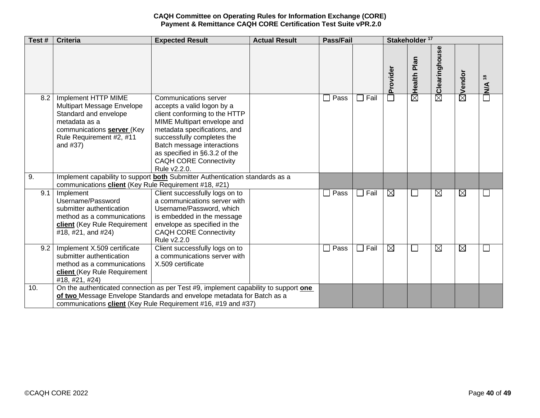| Test# | <b>Criteria</b>                                                                                                                                                   | <b>Expected Result</b>                                                                                                                                                                                                                                                                                   | <b>Actual Result</b> | <b>Pass/Fail</b> |      |                                    | Stakeholder <sup>17</sup> |                   |             |                                                    |  |
|-------|-------------------------------------------------------------------------------------------------------------------------------------------------------------------|----------------------------------------------------------------------------------------------------------------------------------------------------------------------------------------------------------------------------------------------------------------------------------------------------------|----------------------|------------------|------|------------------------------------|---------------------------|-------------------|-------------|----------------------------------------------------|--|
|       |                                                                                                                                                                   |                                                                                                                                                                                                                                                                                                          |                      |                  |      | rovider<br>$\overline{\mathbf{a}}$ | Health Plan               | Clearinghouse     | ⊠Vendor     | $\overset{\circ}{\phantom{a}}$<br>$\sum_{k=1}^{n}$ |  |
| 8.2   | Implement HTTP MIME<br>Multipart Message Envelope<br>Standard and envelope<br>metadata as a<br>communications server (Key<br>Rule Requirement #2, #11<br>and #37) | <b>Communications server</b><br>accepts a valid logon by a<br>client conforming to the HTTP<br>MIME Multipart envelope and<br>metadata specifications, and<br>successfully completes the<br>Batch message interactions<br>as specified in §6.3.2 of the<br><b>CAQH CORE Connectivity</b><br>Rule v2.2.0. |                      | Pass             | Fail |                                    | $\overline{\boxtimes}$    | $\bar{\boxtimes}$ |             | $\Box$                                             |  |
| 9.    | communications client (Key Rule Requirement #18, #21)                                                                                                             | Implement capability to support <b>both</b> Submitter Authentication standards as a                                                                                                                                                                                                                      |                      |                  |      |                                    |                           |                   |             |                                                    |  |
| 9.1   | Implement<br>Username/Password<br>submitter authentication<br>method as a communications<br>client (Key Rule Requirement<br>#18, #21, and #24)                    | Client successfully logs on to<br>a communications server with<br>Username/Password, which<br>is embedded in the message<br>envelope as specified in the<br><b>CAQH CORE Connectivity</b><br>Rule v2.2.0                                                                                                 |                      | Pass             | Fail | $\boxtimes$                        |                           | $\boxtimes$       | $\boxtimes$ | $\overline{\phantom{a}}$                           |  |
| 9.2   | Implement X.509 certificate<br>submitter authentication<br>method as a communications<br>client (Key Rule Requirement<br>#18, #21, #24)                           | Client successfully logs on to<br>a communications server with<br>X.509 certificate                                                                                                                                                                                                                      |                      | Pass             | Fail | $\boxtimes$                        |                           | $\boxtimes$       | $\boxtimes$ |                                                    |  |
| 10.   |                                                                                                                                                                   | On the authenticated connection as per Test #9, implement capability to support one<br>of two Message Envelope Standards and envelope metadata for Batch as a<br>communications client (Key Rule Requirement #16, #19 and #37)                                                                           |                      |                  |      |                                    |                           |                   |             |                                                    |  |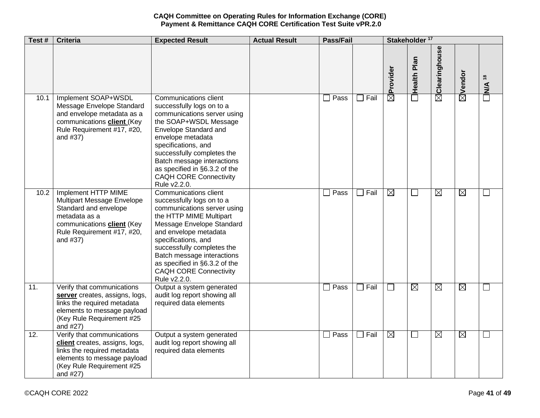| Test#             | <b>Criteria</b>                                                                                                                                                            | <b>Expected Result</b>                                                                                                                                                                                                                                                                                                                  | <b>Actual Result</b> | <b>Pass/Fail</b> |                        | Stakeholder <sup>17</sup> |                    |                           |             |                          |
|-------------------|----------------------------------------------------------------------------------------------------------------------------------------------------------------------------|-----------------------------------------------------------------------------------------------------------------------------------------------------------------------------------------------------------------------------------------------------------------------------------------------------------------------------------------|----------------------|------------------|------------------------|---------------------------|--------------------|---------------------------|-------------|--------------------------|
|                   |                                                                                                                                                                            |                                                                                                                                                                                                                                                                                                                                         |                      |                  |                        | Provider                  | <b>Health Plan</b> | $\boxtimes$ Clearinghouse | ⊠Vendor     | $\Box$ N/A <sup>18</sup> |
| $\overline{10.1}$ | Implement SOAP+WSDL<br>Message Envelope Standard<br>and envelope metadata as a<br>communications client (Key<br>Rule Requirement #17, #20,<br>and #37)                     | <b>Communications client</b><br>successfully logs on to a<br>communications server using<br>the SOAP+WSDL Message<br>Envelope Standard and<br>envelope metadata<br>specifications, and<br>successfully completes the<br>Batch message interactions<br>as specified in §6.3.2 of the<br><b>CAQH CORE Connectivity</b><br>Rule v2.2.0.    |                      | $\Box$ Pass      | Fail<br>$\blacksquare$ | $\boxtimes$               |                    |                           |             |                          |
| 10.2              | Implement HTTP MIME<br>Multipart Message Envelope<br>Standard and envelope<br>metadata as a<br>communications <b>client</b> (Key<br>Rule Requirement #17, #20,<br>and #37) | Communications client<br>successfully logs on to a<br>communications server using<br>the HTTP MIME Multipart<br>Message Envelope Standard<br>and envelope metadata<br>specifications, and<br>successfully completes the<br>Batch message interactions<br>as specified in §6.3.2 of the<br><b>CAQH CORE Connectivity</b><br>Rule v2.2.0. |                      | Pass             | Fail<br>$\Box$         | ⊠                         | $\sim$             | ⊠                         | $\boxtimes$ |                          |
| 11.               | Verify that communications<br>server creates, assigns, logs,<br>links the required metadata<br>elements to message payload<br>(Key Rule Requirement #25<br>and #27)        | Output a system generated<br>audit log report showing all<br>required data elements                                                                                                                                                                                                                                                     |                      | $\square$ Pass   | $\Box$ Fail            |                           | $\boxtimes$        | $\boxtimes$               | $\boxtimes$ |                          |
| 12.               | Verify that communications<br>client creates, assigns, logs,<br>links the required metadata<br>elements to message payload<br>(Key Rule Requirement #25<br>and #27)        | Output a system generated<br>audit log report showing all<br>required data elements                                                                                                                                                                                                                                                     |                      | Pass             | Fail<br>$\Box$         | ⊠                         |                    | $\boxtimes$               | $\boxtimes$ |                          |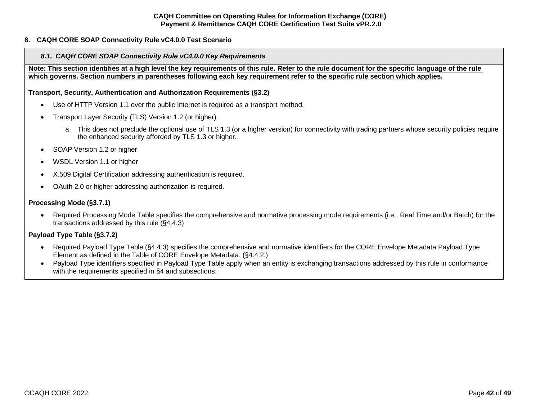### <span id="page-41-1"></span><span id="page-41-0"></span>**8. CAQH CORE SOAP Connectivity Rule vC4.0.0 Test Scenario**

#### *8.1. CAQH CORE SOAP Connectivity Rule vC4.0.0 Key Requirements*

**Note: This section identifies at a high level the key requirements of this rule. Refer to the rule document for the specific language of the rule which governs. Section numbers in parentheses following each key requirement refer to the specific rule section which applies.**

**Transport, Security, Authentication and Authorization Requirements (§3.2)**

- Use of HTTP Version 1.1 over the public Internet is required as a transport method.
- Transport Layer Security (TLS) Version 1.2 (or higher).
	- a. This does not preclude the optional use of TLS 1.3 (or a higher version) for connectivity with trading partners whose security policies require the enhanced security afforded by TLS 1.3 or higher.
- SOAP Version 1.2 or higher
- WSDL Version 1.1 or higher
- X.509 Digital Certification addressing authentication is required.
- OAuth 2.0 or higher addressing authorization is required.

#### **Processing Mode (§3.7.1)**

• Required Processing Mode Table specifies the comprehensive and normative processing mode requirements (i.e., Real Time and/or Batch) for the transactions addressed by this rule (§4.4.3)

## **Payload Type Table (§3.7.2)**

- Required Payload Type Table (§4.4.3) specifies the comprehensive and normative identifiers for the CORE Envelope Metadata Payload Type Element as defined in the Table of CORE Envelope Metadata. (§4.4.2.)
- Payload Type identifiers specified in Payload Type Table apply when an entity is exchanging transactions addressed by this rule in conformance with the requirements specified in §4 and subsections.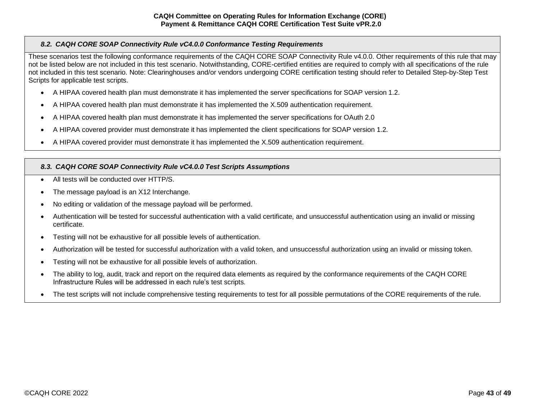# <span id="page-42-0"></span>*8.2. CAQH CORE SOAP Connectivity Rule vC4.0.0 Conformance Testing Requirements*

These scenarios test the following conformance requirements of the CAQH CORE SOAP Connectivity Rule v4.0.0. Other requirements of this rule that may not be listed below are not included in this test scenario. Notwithstanding, CORE-certified entities are required to comply with all specifications of the rule not included in this test scenario. Note: Clearinghouses and/or vendors undergoing CORE certification testing should refer to Detailed Step-by-Step Test Scripts for applicable test scripts.

- A HIPAA covered health plan must demonstrate it has implemented the server specifications for SOAP version 1.2.
- A HIPAA covered health plan must demonstrate it has implemented the X.509 authentication requirement.
- A HIPAA covered health plan must demonstrate it has implemented the server specifications for OAuth 2.0
- A HIPAA covered provider must demonstrate it has implemented the client specifications for SOAP version 1.2.
- A HIPAA covered provider must demonstrate it has implemented the X.509 authentication requirement.

# <span id="page-42-1"></span>*8.3. CAQH CORE SOAP Connectivity Rule vC4.0.0 Test Scripts Assumptions*

- All tests will be conducted over HTTP/S
- The message payload is an X12 Interchange.
- No editing or validation of the message payload will be performed.
- Authentication will be tested for successful authentication with a valid certificate, and unsuccessful authentication using an invalid or missing certificate.
- Testing will not be exhaustive for all possible levels of authentication.
- Authorization will be tested for successful authorization with a valid token, and unsuccessful authorization using an invalid or missing token.
- Testing will not be exhaustive for all possible levels of authorization.
- The ability to log, audit, track and report on the required data elements as required by the conformance requirements of the CAQH CORE Infrastructure Rules will be addressed in each rule's test scripts.
- The test scripts will not include comprehensive testing requirements to test for all possible permutations of the CORE requirements of the rule.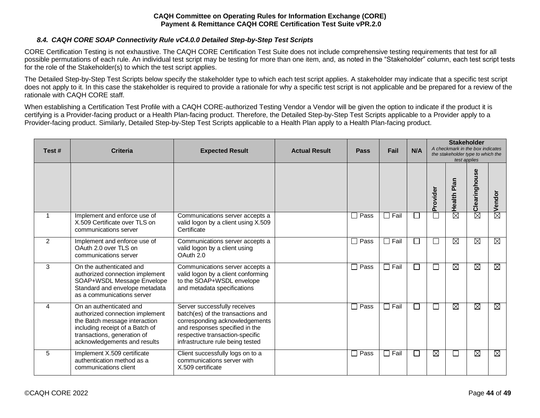## *8.4. CAQH CORE SOAP Connectivity Rule vC4.0.0 Detailed Step-by-Step Test Scripts*

<span id="page-43-0"></span>CORE Certification Testing is not exhaustive. The CAQH CORE Certification Test Suite does not include comprehensive testing requirements that test for all possible permutations of each rule. An individual test script may be testing for more than one item, and, as noted in the "Stakeholder" column, each test script tests for the role of the Stakeholder(s) to which the test script applies.

The Detailed Step-by-Step Test Scripts below specify the stakeholder type to which each test script applies. A stakeholder may indicate that a specific test script does not apply to it. In this case the stakeholder is required to provide a rationale for why a specific test script is not applicable and be prepared for a review of the rationale with CAQH CORE staff.

When establishing a Certification Test Profile with a CAQH CORE-authorized Testing Vendor a Vendor will be given the option to indicate if the product it is certifying is a Provider-facing product or a Health Plan-facing product. Therefore, the Detailed Step-by-Step Test Scripts applicable to a Provider apply to a Provider-facing product. Similarly, Detailed Step-by-Step Test Scripts applicable to a Health Plan apply to a Health Plan-facing product.

| Test#          | <b>Criteria</b>                                                                                                                                                                               | <b>Expected Result</b>                                                                                                                                                                                       | <b>Actual Result</b> | Pass        | Fail                   | N/A          |                          | <b>Stakeholder</b><br>A checkmark in the box indicates<br>the stakeholder type to which the<br>test applies |                        |        |
|----------------|-----------------------------------------------------------------------------------------------------------------------------------------------------------------------------------------------|--------------------------------------------------------------------------------------------------------------------------------------------------------------------------------------------------------------|----------------------|-------------|------------------------|--------------|--------------------------|-------------------------------------------------------------------------------------------------------------|------------------------|--------|
|                |                                                                                                                                                                                               |                                                                                                                                                                                                              |                      |             |                        |              | Provide                  | Plan<br><b>Health</b>                                                                                       | Clearinghouse          | Vendor |
| 1              | Implement and enforce use of<br>X.509 Certificate over TLS on<br>communications server                                                                                                        | Communications server accepts a<br>valid logon by a client using X.509<br>Certificate                                                                                                                        |                      | $\Box$ Pass | Fail<br>$\blacksquare$ | $\mathbf{I}$ |                          | $\overline{\boxtimes}$                                                                                      | $\overline{\boxtimes}$ | 岗      |
| $\overline{2}$ | Implement and enforce use of<br>OAuth 2.0 over TLS on<br>communications server                                                                                                                | Communications server accepts a<br>valid logon by a client using<br>OAuth 2.0                                                                                                                                |                      | $\Box$ Pass | Fail                   | П            | $\mathbf{I}$             | $\overline{\boxtimes}$                                                                                      | $\boxtimes$            | ⊠      |
| 3              | On the authenticated and<br>authorized connection implement<br>SOAP+WSDL Message Envelope<br>Standard and envelope metadata<br>as a communications server                                     | Communications server accepts a<br>valid logon by a client conforming<br>to the SOAP+WSDL envelope<br>and metadata specifications                                                                            |                      | $\Box$ Pass | Fail<br>ΙI             | $\Box$       |                          | ⊠                                                                                                           | ⊠                      | ⊠      |
| 4              | On an authenticated and<br>authorized connection implement<br>the Batch message interaction<br>including receipt of a Batch of<br>transactions, generation of<br>acknowledgements and results | Server successfully receives<br>batch(es) of the transactions and<br>corresponding acknowledgements<br>and responses specified in the<br>respective transaction-specific<br>infrastructure rule being tested |                      | $\Box$ Pass | $\Box$ Fail            | $\Box$       | $\overline{\phantom{0}}$ | ⊠                                                                                                           | $\overline{\boxtimes}$ | ⊠      |
| 5              | Implement X.509 certificate<br>authentication method as a<br>communications client                                                                                                            | Client successfully logs on to a<br>communications server with<br>X.509 certificate                                                                                                                          |                      | $\Box$ Pass | Fail<br>$\mathsf{L}$   | □            | $\boxtimes$              | $\mathbb{R}^n$                                                                                              | $\overline{\boxtimes}$ | Ø      |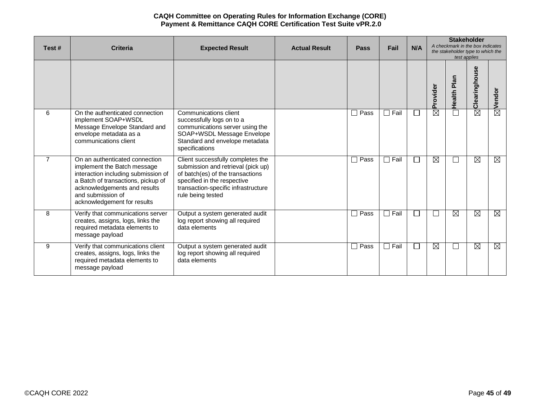| Test#          | <b>Criteria</b>                                                                                                                                                                                                                | <b>Expected Result</b>                                                                                                                                                                                 | <b>Actual Result</b> | <b>Pass</b>            | Fail        | N/A                      |             | <b>Stakeholder</b><br>A checkmark in the box indicates<br>the stakeholder type to which the<br>test applies |                        |             |
|----------------|--------------------------------------------------------------------------------------------------------------------------------------------------------------------------------------------------------------------------------|--------------------------------------------------------------------------------------------------------------------------------------------------------------------------------------------------------|----------------------|------------------------|-------------|--------------------------|-------------|-------------------------------------------------------------------------------------------------------------|------------------------|-------------|
|                |                                                                                                                                                                                                                                |                                                                                                                                                                                                        |                      |                        |             |                          | Provider    | Health Plan                                                                                                 | Clearinghouse          | Vendor      |
| 6              | On the authenticated connection<br>implement SOAP+WSDL<br>Message Envelope Standard and<br>envelope metadata as a<br>communications client                                                                                     | Communications client<br>successfully logs on to a<br>communications server using the<br>SOAP+WSDL Message Envelope<br>Standard and envelope metadata<br>specifications                                |                      | Pass<br>$\sim$         | $\Box$ Fail | $\Box$                   | $\boxtimes$ | Ē                                                                                                           | $\overline{\boxtimes}$ | 囟           |
| $\overline{7}$ | On an authenticated connection<br>implement the Batch message<br>interaction including submission of<br>a Batch of transactions, pickup of<br>acknowledgements and results<br>and submission of<br>acknowledgement for results | Client successfully completes the<br>submission and retrieval (pick up)<br>of batch(es) of the transactions<br>specified in the respective<br>transaction-specific infrastructure<br>rule being tested |                      | Pass                   | $\Box$ Fail | $\mathbf{L}$             | $\boxtimes$ | $\Box$                                                                                                      | $\overline{\boxtimes}$ | ⊠           |
| 8              | Verify that communications server<br>creates, assigns, logs, links the<br>required metadata elements to<br>message payload                                                                                                     | Output a system generated audit<br>log report showing all required<br>data elements                                                                                                                    |                      | Pass<br>$\blacksquare$ | $\Box$ Fail | $\overline{\phantom{a}}$ |             | $\boxtimes$                                                                                                 | $\boxtimes$            | $\boxtimes$ |
| 9              | Verify that communications client<br>creates, assigns, logs, links the<br>required metadata elements to<br>message payload                                                                                                     | Output a system generated audit<br>log report showing all required<br>data elements                                                                                                                    |                      | Pass<br>$\sim$         | $\Box$ Fail | $\Box$                   | $\boxtimes$ | $\Box$                                                                                                      | $\boxtimes$            | $\boxtimes$ |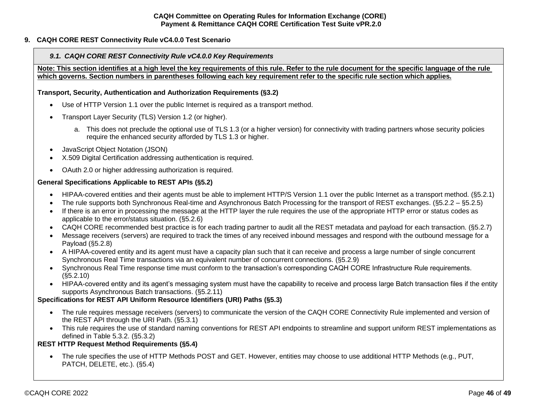# <span id="page-45-0"></span>**9. CAQH CORE REST Connectivity Rule vC4.0.0 Test Scenario**

## <span id="page-45-1"></span>*9.1. CAQH CORE REST Connectivity Rule vC4.0.0 Key Requirements*

**Note: This section identifies at a high level the key requirements of this rule. Refer to the rule document for the specific language of the rule which governs. Section numbers in parentheses following each key requirement refer to the specific rule section which applies.**

#### **Transport, Security, Authentication and Authorization Requirements (§3.2)**

- Use of HTTP Version 1.1 over the public Internet is required as a transport method.
- Transport Layer Security (TLS) Version 1.2 (or higher).
	- a. This does not preclude the optional use of TLS 1.3 (or a higher version) for connectivity with trading partners whose security policies require the enhanced security afforded by TLS 1.3 or higher.
- JavaScript Object Notation (JSON)
- X.509 Digital Certification addressing authentication is required.
- OAuth 2.0 or higher addressing authorization is required.

# **General Specifications Applicable to REST APIs (§5.2)**

- HIPAA-covered entities and their agents must be able to implement HTTP/S Version 1.1 over the public Internet as a transport method. (§5.2.1)
- The rule supports both Synchronous Real-time and Asynchronous Batch Processing for the transport of REST exchanges. (§5.2.2 §5.2.5)
- If there is an error in processing the message at the HTTP layer the rule requires the use of the appropriate HTTP error or status codes as applicable to the error/status situation. (§5.2.6)
- CAQH CORE recommended best practice is for each trading partner to audit all the REST metadata and payload for each transaction. (§5.2.7)
- Message receivers (servers) are required to track the times of any received inbound messages and respond with the outbound message for a Payload (§5.2.8)
- A HIPAA-covered entity and its agent must have a capacity plan such that it can receive and process a large number of single concurrent Synchronous Real Time transactions via an equivalent number of concurrent connections. (§5.2.9)
- Synchronous Real Time response time must conform to the transaction's corresponding CAQH CORE Infrastructure Rule requirements. (§5.2.10)
- HIPAA-covered entity and its agent's messaging system must have the capability to receive and process large Batch transaction files if the entity supports Asynchronous Batch transactions. (§5.2.11)

# **Specifications for REST API Uniform Resource Identifiers (URI) Paths (§5.3)**

- The rule requires message receivers (servers) to communicate the version of the CAQH CORE Connectivity Rule implemented and version of the REST API through the URI Path. (§5.3.1)
- This rule requires the use of standard naming conventions for REST API endpoints to streamline and support uniform REST implementations as defined in Table 5.3.2. (§5.3.2)

## **REST HTTP Request Method Requirements (§5.4)**

• The rule specifies the use of HTTP Methods POST and GET. However, entities may choose to use additional HTTP Methods (e.g., PUT, PATCH, DELETE, etc.). (§5.4)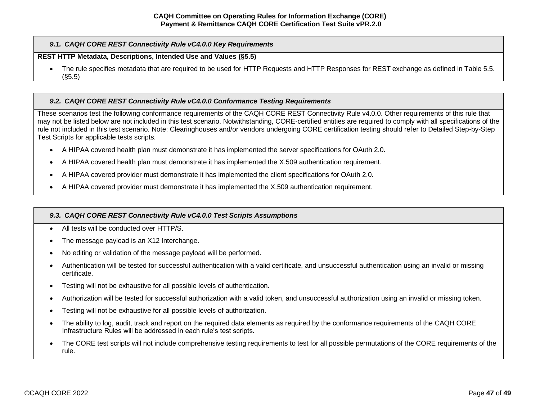## *9.1. CAQH CORE REST Connectivity Rule vC4.0.0 Key Requirements*

#### **REST HTTP Metadata, Descriptions, Intended Use and Values (§5.5)**

• The rule specifies metadata that are required to be used for HTTP Requests and HTTP Responses for REST exchange as defined in Table 5.5. (§5.5)

#### <span id="page-46-0"></span>*9.2. CAQH CORE REST Connectivity Rule vC4.0.0 Conformance Testing Requirements*

These scenarios test the following conformance requirements of the CAQH CORE REST Connectivity Rule v4.0.0. Other requirements of this rule that may not be listed below are not included in this test scenario. Notwithstanding, CORE-certified entities are required to comply with all specifications of the rule not included in this test scenario. Note: Clearinghouses and/or vendors undergoing CORE certification testing should refer to Detailed Step-by-Step Test Scripts for applicable tests scripts.

- A HIPAA covered health plan must demonstrate it has implemented the server specifications for OAuth 2.0.
- A HIPAA covered health plan must demonstrate it has implemented the X.509 authentication requirement.
- A HIPAA covered provider must demonstrate it has implemented the client specifications for OAuth 2.0.
- A HIPAA covered provider must demonstrate it has implemented the X.509 authentication requirement.

#### <span id="page-46-1"></span>*9.3. CAQH CORE REST Connectivity Rule vC4.0.0 Test Scripts Assumptions*

- All tests will be conducted over HTTP/S.
- The message payload is an X12 Interchange.
- No editing or validation of the message payload will be performed.
- Authentication will be tested for successful authentication with a valid certificate, and unsuccessful authentication using an invalid or missing certificate.
- Testing will not be exhaustive for all possible levels of authentication.
- Authorization will be tested for successful authorization with a valid token, and unsuccessful authorization using an invalid or missing token.
- Testing will not be exhaustive for all possible levels of authorization.
- The ability to log, audit, track and report on the required data elements as required by the conformance requirements of the CAQH CORE Infrastructure Rules will be addressed in each rule's test scripts.
- The CORE test scripts will not include comprehensive testing requirements to test for all possible permutations of the CORE requirements of the rule.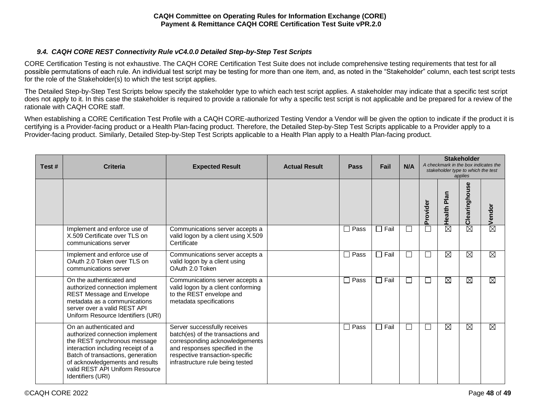# *9.4. CAQH CORE REST Connectivity Rule vC4.0.0 Detailed Step-by-Step Test Scripts*

<span id="page-47-0"></span>CORE Certification Testing is not exhaustive. The CAQH CORE Certification Test Suite does not include comprehensive testing requirements that test for all possible permutations of each rule. An individual test script may be testing for more than one item, and, as noted in the "Stakeholder" column, each test script tests for the role of the Stakeholder(s) to which the test script applies.

The Detailed Step-by-Step Test Scripts below specify the stakeholder type to which each test script applies. A stakeholder may indicate that a specific test script does not apply to it. In this case the stakeholder is required to provide a rationale for why a specific test script is not applicable and be prepared for a review of the rationale with CAQH CORE staff.

When establishing a CORE Certification Test Profile with a CAQH CORE-authorized Testing Vendor a Vendor will be given the option to indicate if the product it is certifying is a Provider-facing product or a Health Plan-facing product. Therefore, the Detailed Step-by-Step Test Scripts applicable to a Provider apply to a Provider-facing product. Similarly, Detailed Step-by-Step Test Scripts applicable to a Health Plan apply to a Health Plan-facing product.

| Test# | Criteria                                                                                                                                                                                                                                                         | <b>Expected Result</b>                                                                                                                                                                                       | <b>Actual Result</b> | <b>Pass</b>            | Fail           | N/A    |               | <b>Stakeholder</b><br>A checkmark in the box indicates the<br>stakeholder type to which the test<br>applies |               |                    |
|-------|------------------------------------------------------------------------------------------------------------------------------------------------------------------------------------------------------------------------------------------------------------------|--------------------------------------------------------------------------------------------------------------------------------------------------------------------------------------------------------------|----------------------|------------------------|----------------|--------|---------------|-------------------------------------------------------------------------------------------------------------|---------------|--------------------|
|       |                                                                                                                                                                                                                                                                  |                                                                                                                                                                                                              |                      |                        |                |        | Provider      | Plan<br>Health                                                                                              | Clearinghouse | $\boxtimes$ Vendor |
|       | Implement and enforce use of<br>X.509 Certificate over TLS on<br>communications server                                                                                                                                                                           | Communications server accepts a<br>valid logon by a client using X.509<br>Certificate                                                                                                                        |                      | Pass<br>$\blacksquare$ | Fail<br>$\Box$ | $\Box$ | $\mathcal{L}$ | ⊠                                                                                                           | $\boxtimes$   |                    |
|       | Implement and enforce use of<br>OAuth 2.0 Token over TLS on<br>communications server                                                                                                                                                                             | Communications server accepts a<br>valid logon by a client using<br>OAuth 2.0 Token                                                                                                                          |                      | Pass                   | Fail<br>П      | П      | $\mathcal{L}$ | Ø                                                                                                           | Ø             | $\boxtimes$        |
|       | On the authenticated and<br>authorized connection implement<br>REST Message and Envelope<br>metadata as a communications<br>server over a valid REST API<br>Uniform Resource Identifiers (URI)                                                                   | Communications server accepts a<br>valid logon by a client conforming<br>to the REST envelope and<br>metadata specifications                                                                                 |                      | Pass<br>$\blacksquare$ | Fail<br>П      | $\Box$ | $\mathcal{L}$ | $\boxtimes$                                                                                                 | $\boxtimes$   | ⊠                  |
|       | On an authenticated and<br>authorized connection implement<br>the REST synchronous message<br>interaction including receipt of a<br>Batch of transactions, generation<br>of acknowledgements and results<br>valid REST API Uniform Resource<br>Identifiers (URI) | Server successfully receives<br>batch(es) of the transactions and<br>corresponding acknowledgements<br>and responses specified in the<br>respective transaction-specific<br>infrastructure rule being tested |                      | Pass<br>- 1            | $\Box$ Fail    | П      | $\mathcal{L}$ | Ø                                                                                                           | $\boxtimes$   | $\boxtimes$        |